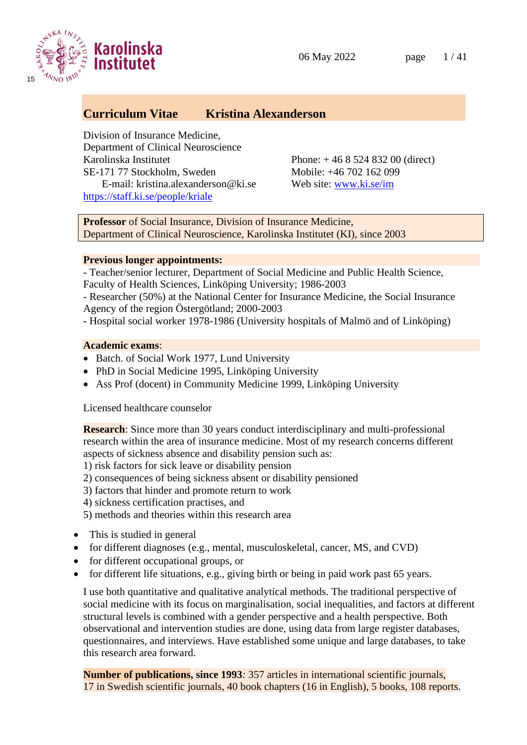



## **Curriculum Vitae Kristina Alexanderson**

Division of Insurance Medicine, Department of Clinical Neuroscience Karolinska Institutet Phone: + 46 8 524 832 00 (direct) SE-171 77 Stockholm, Sweden Mobile: +46 702 162 099 E-mail: [kristina.alexanderson@ki.se](mailto:kristina.alexanderson@ki.se) Web site: [www.ki.se/im](http://www.ki.se/im) <https://staff.ki.se/people/kriale>

**Professor** of Social Insurance, Division of Insurance Medicine, Department of Clinical Neuroscience, Karolinska Institutet (KI), since 2003

### **Previous longer appointments:**

- Teacher/senior lecturer, Department of Social Medicine and Public Health Science, Faculty of Health Sciences, Linköping University; 1986-2003

- Researcher (50%) at the National Center for Insurance Medicine, the Social Insurance Agency of the region Östergötland; 2000-2003
- Hospital social worker 1978-1986 (University hospitals of Malmö and of Linköping)

### **Academic exams**:

- Batch. of Social Work 1977, Lund University
- PhD in Social Medicine 1995, Linköping University
- Ass Prof (docent) in Community Medicine 1999, Linköping University

Licensed healthcare counselor

**Research**: Since more than 30 years conduct interdisciplinary and multi-professional research within the area of insurance medicine. Most of my research concerns different aspects of sickness absence and disability pension such as:

- 1) risk factors for sick leave or disability pension
- 2) consequences of being sickness absent or disability pensioned
- 3) factors that hinder and promote return to work
- 4) sickness certification practises, and
- 5) methods and theories within this research area
- This is studied in general
- for different diagnoses (e.g., mental, musculoskeletal, cancer, MS, and CVD)
- for different occupational groups, or
- for different life situations, e.g., giving birth or being in paid work past 65 years.

I use both quantitative and qualitative analytical methods. The traditional perspective of social medicine with its focus on marginalisation, social inequalities, and factors at different structural levels is combined with a gender perspective and a health perspective. Both observational and intervention studies are done, using data from large register databases, questionnaires, and interviews. Have established some unique and large databases, to take this research area forward.

**Number of publications, since 1993***:* 357 articles in international scientific journals, 17 in Swedish scientific journals, 40 book chapters (16 in English), 5 books, 108 reports.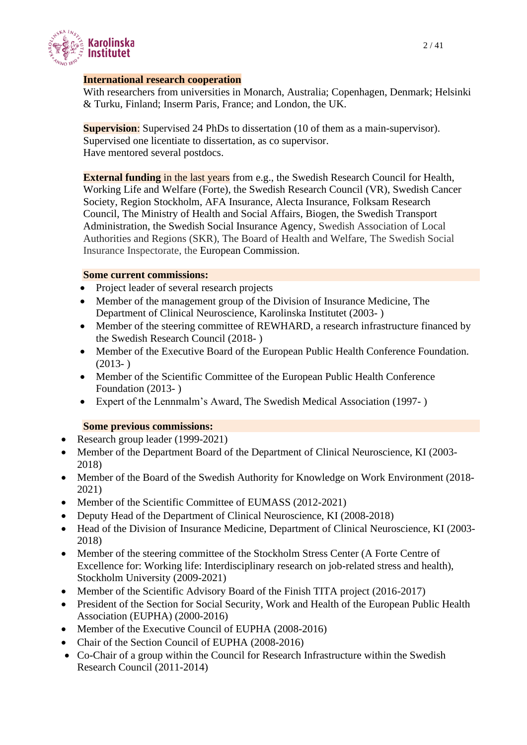

### **International research cooperation**

With researchers from universities in Monarch, Australia; Copenhagen, Denmark; Helsinki & Turku, Finland; Inserm Paris, France; and London, the UK.

**Supervision**: Supervised 24 PhDs to dissertation (10 of them as a main-supervisor). Supervised one licentiate to dissertation, as co supervisor. Have mentored several postdocs.

**External funding** in the last years from e.g., the Swedish Research Council for Health, Working Life and Welfare (Forte), the Swedish Research Council (VR), Swedish Cancer Society, Region Stockholm, AFA Insurance, Alecta Insurance, Folksam Research Council, The Ministry of Health and Social Affairs, Biogen, the Swedish Transport Administration, the Swedish Social Insurance Agency, Swedish Association of Local Authorities and Regions (SKR), The Board of Health and Welfare, The Swedish Social Insurance Inspectorate, the European Commission.

#### **Some current commissions:**

- Project leader of several research projects
- Member of the management group of the Division of Insurance Medicine, The Department of Clinical Neuroscience, Karolinska Institutet (2003- )
- Member of the steering committee of REWHARD, a research infrastructure financed by the Swedish Research Council (2018- )
- Member of the Executive Board of the European Public Health Conference Foundation.  $(2013- )$
- Member of the Scientific Committee of the European Public Health Conference Foundation (2013- )
- Expert of the Lennmalm's Award, The Swedish Medical Association (1997- )

### **Some previous commissions:**

- Research group leader (1999-2021)
- Member of the Department Board of the Department of Clinical Neuroscience, KI (2003- 2018)
- Member of the Board of the Swedish Authority for Knowledge on Work Environment (2018-2021)
- Member of the Scientific Committee of EUMASS (2012-2021)
- Deputy Head of the Department of Clinical Neuroscience, KI (2008-2018)
- Head of the Division of Insurance Medicine, Department of Clinical Neuroscience, KI (2003-2018)
- Member of the steering committee of the Stockholm Stress Center (A Forte Centre of Excellence for: Working life: Interdisciplinary research on job-related stress and health), Stockholm University (2009-2021)
- Member of the Scientific Advisory Board of the Finish TITA project (2016-2017)
- President of the Section for Social Security, Work and Health of the European Public Health Association (EUPHA) (2000-2016)
- Member of the Executive Council of EUPHA (2008-2016)
- Chair of the Section Council of EUPHA (2008-2016)
- Co-Chair of a group within the Council for Research Infrastructure within the Swedish Research Council (2011-2014)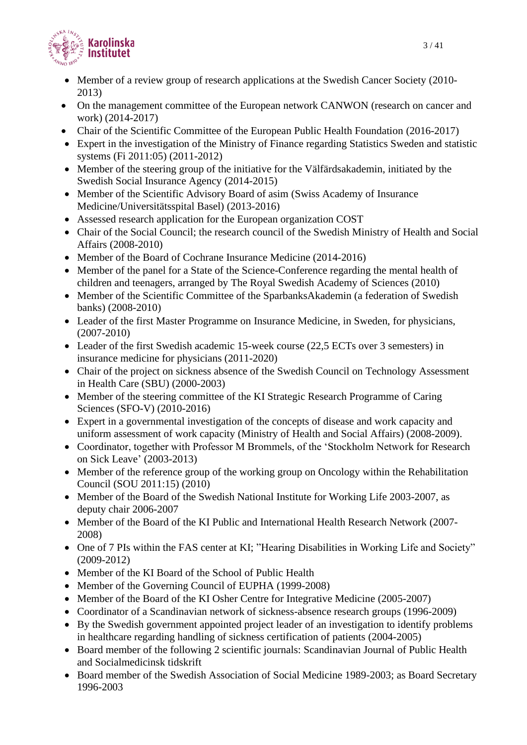

- Member of a review group of research applications at the Swedish Cancer Society (2010-2013)
- On the management committee of the European network CANWON (research on cancer and work) (2014-2017)
- Chair of the Scientific Committee of the European Public Health Foundation (2016-2017)
- Expert in the investigation of the Ministry of Finance regarding Statistics Sweden and statistic systems (Fi 2011:05) (2011-2012)
- Member of the steering group of the initiative for the Välfärdsakademin, initiated by the Swedish Social Insurance Agency (2014-2015)
- Member of the Scientific Advisory Board of asim (Swiss Academy of Insurance Medicine/Universitätsspital Basel) (2013-2016)
- Assessed research application for the European organization COST
- Chair of the Social Council; the research council of the Swedish Ministry of Health and Social Affairs (2008-2010)
- Member of the Board of Cochrane Insurance Medicine (2014-2016)
- Member of the panel for a State of the Science-Conference regarding the mental health of children and teenagers, arranged by The Royal Swedish Academy of Sciences (2010)
- Member of the Scientific Committee of the SparbanksAkademin (a federation of Swedish banks) (2008-2010)
- Leader of the first Master Programme on Insurance Medicine, in Sweden, for physicians, (2007-2010)
- Leader of the first Swedish academic 15-week course (22,5 ECTs over 3 semesters) in insurance medicine for physicians (2011-2020)
- Chair of the project on sickness absence of the Swedish Council on Technology Assessment in Health Care (SBU) (2000-2003)
- Member of the steering committee of the KI Strategic Research Programme of Caring Sciences (SFO-V) (2010-2016)
- Expert in a governmental investigation of the concepts of disease and work capacity and uniform assessment of work capacity (Ministry of Health and Social Affairs) (2008-2009).
- Coordinator, together with Professor M Brommels, of the 'Stockholm Network for Research on Sick Leave' (2003-2013)
- Member of the reference group of the working group on Oncology within the Rehabilitation Council (SOU 2011:15) (2010)
- Member of the Board of the Swedish National Institute for Working Life 2003-2007, as deputy chair 2006-2007
- Member of the Board of the KI Public and International Health Research Network (2007- 2008)
- One of 7 PIs within the FAS center at KI; "Hearing Disabilities in Working Life and Society" (2009-2012)
- Member of the KI Board of the School of Public Health
- Member of the Governing Council of EUPHA (1999-2008)
- Member of the Board of the KI Osher Centre for Integrative Medicine (2005-2007)
- Coordinator of a Scandinavian network of sickness-absence research groups (1996-2009)
- By the Swedish government appointed project leader of an investigation to identify problems in healthcare regarding handling of sickness certification of patients (2004-2005)
- Board member of the following 2 scientific journals: Scandinavian Journal of Public Health and Socialmedicinsk tidskrift
- Board member of the Swedish Association of Social Medicine 1989-2003; as Board Secretary 1996-2003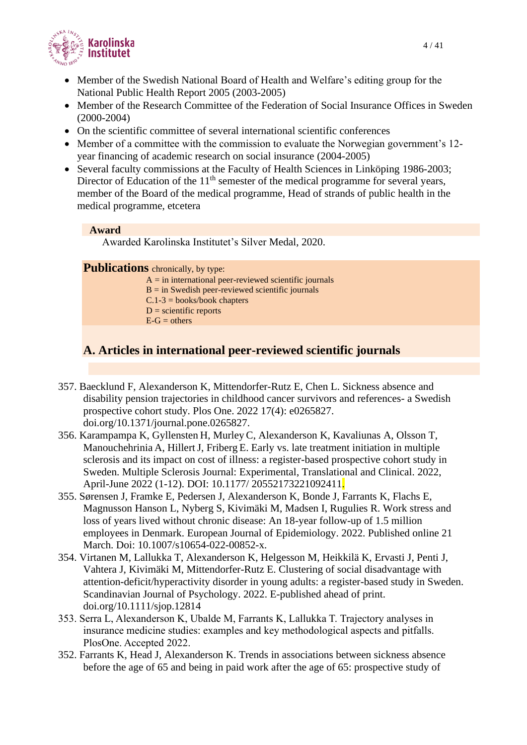

- Member of the Swedish National Board of Health and Welfare's editing group for the National Public Health Report 2005 (2003-2005)
- Member of the Research Committee of the Federation of Social Insurance Offices in Sweden (2000-2004)
- On the scientific committee of several international scientific conferences
- Member of a committee with the commission to evaluate the Norwegian government's 12year financing of academic research on social insurance (2004-2005)
- Several faculty commissions at the Faculty of Health Sciences in Linköping 1986-2003; Director of Education of the  $11<sup>th</sup>$  semester of the medical programme for several years, member of the Board of the medical programme, Head of strands of public health in the medical programme, etcetera

#### **Award**

Awarded Karolinska Institutet's Silver Medal, 2020.

**Publications** chronically, by type:

 $A =$  in international peer-reviewed scientific journals  $B =$  in Swedish peer-reviewed scientific journals

- $C.1-3 = \text{books}/\text{book}$  chapters
- $D =$  scientific reports
- $E-G = others$

## **A. Articles in international peer-reviewed scientific journals**

- 357. Baecklund F, Alexanderson K, Mittendorfer-Rutz E, Chen L. Sickness absence and disability pension trajectories in childhood cancer survivors and references- a Swedish prospective cohort study. Plos One. 2022 17(4): e0265827. [doi.org/10.1371/journal.pone.0265827.](https://doi.org/10.1371/journal.pone.0265827)
- 356. Karampampa K, Gyllensten H, Murley C, Alexanderson K, Kavaliunas A, Olsson T, Manouchehrinia A, HillertJ, Friberg E. Early vs. late treatment initiation in multiple sclerosis and its impact on cost of illness: a register-based prospective cohort study in Sweden. Multiple Sclerosis Journal: Experimental, Translational and Clinical. 2022, April-June 2022 (1-12). DOI: 10.1177/ 20552173221092411.
- 355. Sørensen J, Framke E, Pedersen J, Alexanderson K, Bonde J, Farrants K, Flachs E, Magnusson Hanson L, Nyberg S, Kivimäki M, Madsen I, Rugulies R. Work stress and loss of years lived without chronic disease: An 18-year follow-up of 1.5 million employees in Denmark. European Journal of Epidemiology. 2022. Published online 21 March. Doi: 10.1007/s10654-022-00852-x.
- 354. Virtanen M, Lallukka T, Alexanderson K, Helgesson M, Heikkilä K, Ervasti J, Penti J, Vahtera J, Kivimäki M, Mittendorfer-Rutz E. Clustering of social disadvantage with attention-deficit/hyperactivity disorder in young adults: a register-based study in Sweden. Scandinavian Journal of Psychology. 2022. E-published ahead of print. [doi.org/10.1111/sjop.12814](https://doi.org/10.1111/sjop.12814)
- 353. Serra L, Alexanderson K, Ubalde M, Farrants K, Lallukka T. Trajectory analyses in insurance medicine studies: examples and key methodological aspects and pitfalls. PlosOne. Accepted 2022.
- 352. Farrants K, Head J, Alexanderson K. Trends in associations between sickness absence before the age of 65 and being in paid work after the age of 65: prospective study of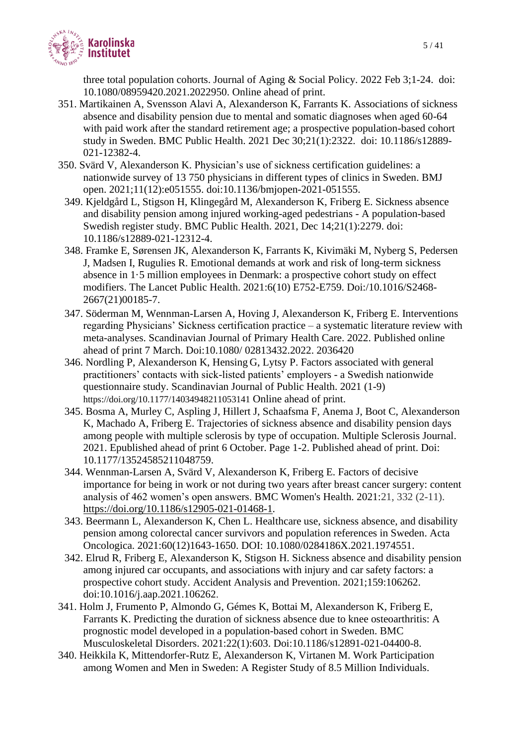

three total population cohorts. Journal of Aging & Social Policy. 2022 Feb 3;1-24. doi: 10.1080/08959420.2021.2022950. Online ahead of print.

- 351. Martikainen A, Svensson Alavi A, Alexanderson K, Farrants K. Associations of sickness absence and disability pension due to mental and somatic diagnoses when aged 60-64 with paid work after the standard retirement age; a prospective population-based cohort study in Sweden. BMC Public Health. 2021 Dec 30;21(1):2322. doi: 10.1186/s12889- 021-12382-4.
- 350. Svärd V, Alexanderson K. Physician's use of sickness certification guidelines: a nationwide survey of 13 750 physicians in different types of clinics in Sweden. BMJ open. 2021;11(12):e051555. doi:10.1136/bmjopen-2021-051555.
- 349. Kjeldgård L, Stigson H, Klingegård M, Alexanderson K, Friberg E. Sickness absence and disability pension among injured working-aged pedestrians - A population-based Swedish register study. BMC Public Health. 2021, Dec 14;21(1):2279. doi: 10.1186/s12889-021-12312-4.
- 348. Framke E, Sørensen JK, Alexanderson K, Farrants K, Kivimäki M, Nyberg S, Pedersen J, Madsen I, Rugulies R. Emotional demands at work and risk of long-term sickness absence in 1·5 million employees in Denmark: a prospective cohort study on effect modifiers. The Lancet Public Health. 2021:6(10) E752-E759. Doi:/10.1016/S2468- 2667(21)00185-7.
- 347. Söderman M, Wennman-Larsen A, Hoving J, Alexanderson K, Friberg E. Interventions regarding Physicians' Sickness certification practice – a systematic literature review with meta-analyses. Scandinavian Journal of Primary Health Care. 2022. Published online ahead of print 7 March. Doi:10.1080/ 02813432.2022. 2036420
- 346. Nordling P, Alexanderson K, Hensing G, Lytsy P. Factors associated with general practitioners' contacts with sick-listed patients' employers - a Swedish nationwide questionnaire study. Scandinavian Journal of Public Health. 2021 (1-9) <https://doi.org/10.1177/14034948211053141> Online ahead of print.
- 345. Bosma A, Murley C, Aspling J, Hillert J, Schaafsma F, Anema J, Boot C, Alexanderson K, Machado A, Friberg E. Trajectories of sickness absence and disability pension days among people with multiple sclerosis by type of occupation. Multiple Sclerosis Journal. 2021. Epublished ahead of print 6 October. Page 1-2. Published ahead of print. Doi: 10.1177/13524585211048759.
- 344. Wennman-Larsen A, Svärd V, Alexanderson K, Friberg E. Factors of decisive importance for being in work or not during two years after breast cancer surgery: content analysis of 462 women's open answers. BMC Women's Health. 2021:21, 332 (2-11). [https://doi.org/10.1186/s12905-021-01468-1.](https://doi.org/10.1186/s12905-021-01468-1)
- 343. Beermann L, Alexanderson K, Chen L. Healthcare use, sickness absence, and disability pension among colorectal cancer survivors and population references in Sweden. Acta Oncologica. 2021:60(12)1643-1650. DOI: [10.1080/0284186X.2021.1974551.](https://doi.org/10.1080/0284186x.2021.1974551)
- 342. Elrud R, Friberg E, Alexanderson K, Stigson H. Sickness absence and disability pension among injured car occupants, and associations with injury and car safety factors: a prospective cohort study. Accident Analysis and Prevention. 2021;159:106262. doi:10.1016/j.aap.2021.106262.
- 341. Holm J, Frumento P, Almondo G, Gémes K, Bottai M, Alexanderson K, Friberg E, Farrants K. Predicting the duration of sickness absence due to knee osteoarthritis: A prognostic model developed in a population-based cohort in Sweden. BMC Musculoskeletal Disorders. 2021:22(1):603. Doi:10.1186/s12891-021-04400-8.
- 340. Heikkila K, Mittendorfer-Rutz E, Alexanderson K, Virtanen M. Work Participation among Women and Men in Sweden: A Register Study of 8.5 Million Individuals.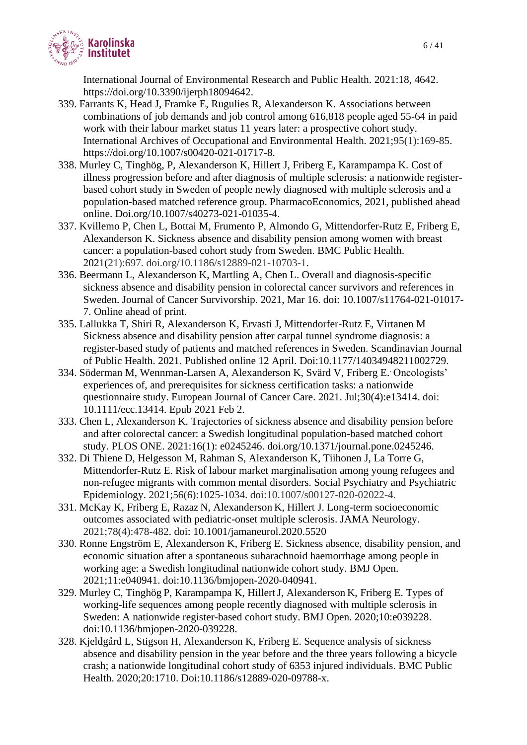

International Journal of Environmental Research and Public Health. 2021:18, 4642. https://doi.org/10.3390/ijerph18094642.

- 339. Farrants K, Head J, Framke E, Rugulies R, Alexanderson K. Associations between combinations of job demands and job control among 616,818 people aged 55-64 in paid work with their labour market status 11 years later: a prospective cohort study. International Archives of Occupational and Environmental Health. 2021;95(1):169-85. [https://doi.org/10.1007/s00420-021-01717-8.](https://eur01.safelinks.protection.outlook.com/?url=https%3A%2F%2Fdoi.org%2F10.1007%2Fs00420-021-01717-8&data=04%7C01%7Ckristin.farrants%40ki.se%7C8d34837628e74ea8e28908d92a5fa389%7Cbff7eef1cf4b4f32be3da1dda043c05d%7C0%7C0%7C637587412928672004%7CUnknown%7CTWFpbGZsb3d8eyJWIjoiMC4wLjAwMDAiLCJQIjoiV2luMzIiLCJBTiI6Ik1haWwiLCJXVCI6Mn0%3D%7C1000&sdata=A4sgfnRnugybCXWCf%2FsriSxcK9DCVR7WScVizGn2GW4%3D&reserved=0)
- 338. Murley C, Tinghög, P, Alexanderson K, Hillert J, Friberg E, Karampampa K. Cost of illness progression before and after diagnosis of multiple sclerosis: a nationwide registerbased cohort study in Sweden of people newly diagnosed with multiple sclerosis and a population-based matched reference group. PharmacoEconomics, 2021, published ahead online. Doi.org/10.1007/s40273-021-01035-4.
- 337. Kvillemo P, Chen L, Bottai M, Frumento P, Almondo G, Mittendorfer-Rutz E, Friberg E, Alexanderson K. Sickness absence and disability pension among women with breast cancer: a population-based cohort study from Sweden. BMC Public Health. 2021(21):697. doi.org/10.1186/s12889-021-10703-1.
- 336. Beermann L, Alexanderson K, Martling A, Chen L. Overall and diagnosis-specific sickness absence and disability pension in colorectal cancer survivors and references in Sweden. Journal of Cancer Survivorship. 2021, Mar 16. doi: 10.1007/s11764-021-01017- 7. Online ahead of print.
- 335. Lallukka T, Shiri R, Alexanderson K, Ervasti J, Mittendorfer-Rutz E, Virtanen M Sickness absence and disability pension after carpal tunnel syndrome diagnosis: a register-based study of patients and matched references in Sweden. Scandinavian Journal of Public Health. 2021. Published online 12 April. Doi:10.1177/14034948211002729.
- 334. Söderman M, Wennman-Larsen A, Alexanderson K, Svärd V, Friberg E. . Oncologists' experiences of, and prerequisites for sickness certification tasks: a nationwide questionnaire study. European Journal of Cancer Care. 2021. Jul;30(4):e13414. doi: 10.1111/ecc.13414. Epub 2021 Feb 2.
- 333. Chen L, Alexanderson K. Trajectories of sickness absence and disability pension before and after colorectal cancer: a Swedish longitudinal population-based matched cohort study. PLOS ONE. 2021:16(1): e0245246. doi.org/10.1371/journal.pone.0245246.
- 332. Di Thiene D, Helgesson M, Rahman S, Alexanderson K, Tiihonen J, La Torre G, Mittendorfer-Rutz E. Risk of labour market marginalisation among young refugees and non-refugee migrants with common mental disorders. Social Psychiatry and Psychiatric Epidemiology. 2021;56(6):1025-1034. doi:10.1007/s00127-020-02022-4.
- 331. McKay K, Friberg E, Razaz N, Alexanderson K, Hillert J. Long-term socioeconomic outcomes associated with pediatric-onset multiple sclerosis. JAMA Neurology. 2021;78(4):478-482. doi: 10.1001/jamaneurol.2020.5520
- 330. Ronne Engström E, Alexanderson K, Friberg E. Sickness absence, disability pension, and economic situation after a spontaneous subarachnoid haemorrhage among people in working age: a Swedish longitudinal nationwide cohort study. BMJ Open. 2021;11:e040941. doi:10.1136/bmjopen-2020-040941.
- 329. Murley C, Tinghög P, Karampampa K, HillertJ, Alexanderson K, Friberg E. Types of working-life sequences among people recently diagnosed with multiple sclerosis in Sweden: A nationwide register-based cohort study. BMJ Open. 2020;10:e039228. doi:10.1136/bmjopen-2020-039228.
- 328. Kjeldgård L, Stigson H, Alexanderson K, Friberg E. Sequence analysis of sickness absence and disability pension in the year before and the three years following a bicycle crash; a nationwide longitudinal cohort study of 6353 injured individuals. BMC Public Health. 2020;20:1710. Doi:10.1186/s12889-020-09788-x.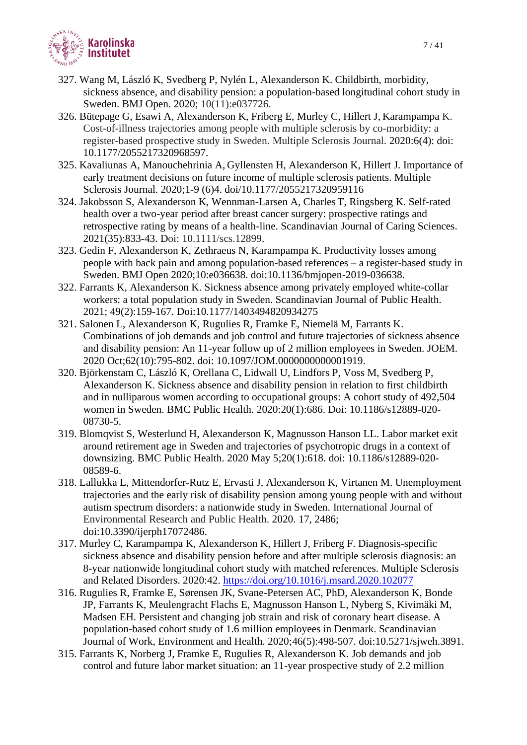

- 327. Wang M, László K, Svedberg P, Nylén L, Alexanderson K. Childbirth, morbidity, sickness absence, and disability pension: a population-based longitudinal cohort study in Sweden. BMJ Open. 2020; 10(11):e037726.
- 326. Bütepage G, Esawi A, Alexanderson K, Friberg E, Murley C, Hillert J, Karampampa K. Cost-of-illness trajectories among people with multiple sclerosis by co-morbidity: a register-based prospective study in Sweden. Multiple Sclerosis Journal. 2020:6(4): doi: 10.1177/2055217320968597.
- 325. Kavaliunas A, Manouchehrinia A, Gyllensten H, Alexanderson K, Hillert J. Importance of early treatment decisions on future income of multiple sclerosis patients. Multiple Sclerosis Journal. 2020;1-9 (6)4. doi/10.1177/2055217320959116
- 324. Jakobsson S, Alexanderson K, Wennman-Larsen A, Charles T, Ringsberg K. Self-rated health over a two-year period after breast cancer surgery: prospective ratings and retrospective rating by means of a health-line. Scandinavian Journal of Caring Sciences. 2021(35):833-43. Doi: 10.1111/scs.12899.
- 323. Gedin F, Alexanderson K, Zethraeus N, Karampampa K. Productivity losses among people with back pain and among population-based references – a register-based study in Sweden. BMJ Open 2020;10:e036638. doi:10.1136/bmjopen-2019-036638.
- 322. Farrants K, Alexanderson K. Sickness absence among privately employed white-collar workers: a total population study in Sweden. Scandinavian Journal of Public Health. 2021; 49(2):159-167. Doi:10.1177/1403494820934275
- 321. Salonen L, Alexanderson K, Rugulies R, Framke E, Niemelä M, Farrants K. Combinations of job demands and job control and future trajectories of sickness absence and disability pension: An 11-year follow up of 2 million employees in Sweden. JOEM. 2020 Oct;62(10):795-802. doi: 10.1097/JOM.0000000000001919.
- 320. Björkenstam C, László K, Orellana C, Lidwall U, Lindfors P, Voss M, Svedberg P, Alexanderson K. Sickness absence and disability pension in relation to first childbirth and in nulliparous women according to occupational groups: A cohort study of 492,504 women in Sweden. BMC Public Health. 2020:20(1):686. Doi: 10.1186/s12889-020- 08730-5.
- 319. [Blomqvist S,](https://www.ncbi.nlm.nih.gov/pubmed/?term=Blomqvist%20S%5BAuthor%5D&cauthor=true&cauthor_uid=32370787) [Westerlund H,](https://www.ncbi.nlm.nih.gov/pubmed/?term=Westerlund%20H%5BAuthor%5D&cauthor=true&cauthor_uid=32370787) [Alexanderson K,](https://www.ncbi.nlm.nih.gov/pubmed/?term=Alexanderson%20K%5BAuthor%5D&cauthor=true&cauthor_uid=32370787) Magnusson Hanson LL. Labor market exit around retirement age in Sweden and trajectories of psychotropic drugs in a context of downsizing. [BMC Public Health.](https://www.ncbi.nlm.nih.gov/pubmed/32370787?otool=karolib&tool=karolinska) 2020 May 5;20(1):618. doi: 10.1186/s12889-020- 08589-6.
- 318. Lallukka L, Mittendorfer-Rutz E, Ervasti J, Alexanderson K, Virtanen M. Unemployment trajectories and the early risk of disability pension among young people with and without autism spectrum disorders: a nationwide study in Sweden. International Journal of Environmental Research and Public Health. 2020. 17, 2486; doi:10.3390/ijerph17072486.
- 317. Murley C, Karampampa K, Alexanderson K*,* Hillert J, Friberg F. Diagnosis-specific sickness absence and disability pension before and after multiple sclerosis diagnosis: an 8-year nationwide longitudinal cohort study with matched references. Multiple Sclerosis and Related Disorders. 2020:42.<https://doi.org/10.1016/j.msard.2020.102077>
- 316. Rugulies R, Framke E, Sørensen JK, Svane-Petersen AC, PhD, Alexanderson K, Bonde JP, Farrants K, Meulengracht Flachs E, Magnusson Hanson L, Nyberg S, Kivimäki M, Madsen EH. Persistent and changing job strain and risk of coronary heart disease. A population-based cohort study of 1.6 million employees in Denmark. Scandinavian Journal of Work, Environment and Health. 2020;46(5):498-507. doi:10.5271/sjweh.3891.
- 315. Farrants K, Norberg J, Framke E, Rugulies R, Alexanderson K. Job demands and job control and future labor market situation: an 11-year prospective study of 2.2 million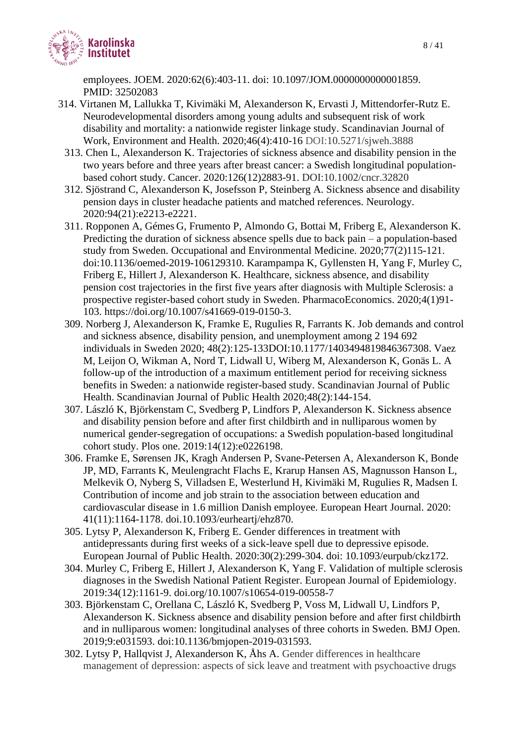

employees. JOEM. 2020:62(6):403-11. doi: 10.1097/JOM.0000000000001859. PMID: 32502083

- 314. Virtanen M, Lallukka T, Kivimäki M, Alexanderson K, Ervasti J, Mittendorfer-Rutz E. Neurodevelopmental disorders among young adults and subsequent risk of work disability and mortality: a nationwide register linkage study. Scandinavian Journal of Work, Environment and Health. 2020;46(4):410-16 DOI[:10.5271/sjweh.3888](https://doi.org/10.5271/sjweh.3888)
	- 313. Chen L, Alexanderson K. Trajectories of sickness absence and disability pension in the two years before and three years after breast cancer: a Swedish longitudinal populationbased cohort study. Cancer. 2020:126(12)2883-91. DOI:10.1002/cncr.32820
	- 312. Sjöstrand C, Alexanderson K, Josefsson P, Steinberg A. Sickness absence and disability pension days in cluster headache patients and matched references. Neurology. 2020:94(21):e2213-e2221.
	- 311. Ropponen A, Gémes G, Frumento P, Almondo G, Bottai M, Friberg E, Alexanderson K. Predicting the duration of sickness absence spells due to back pain – a population-based study from Sweden. Occupational and Environmental Medicine. 2020;77(2)115-121. doi:10.1136/oemed-2019-106129310. Karampampa K, Gyllensten H, Yang F, Murley C, Friberg E, Hillert J, Alexanderson K. Healthcare, sickness absence, and disability pension cost trajectories in the first five years after diagnosis with Multiple Sclerosis: a prospective register-based cohort study in Sweden. PharmacoEconomics. 2020;4(1)91- 103. https://doi.org/10.1007/s41669-019-0150-3.
	- 309. Norberg J, Alexanderson K, Framke E, Rugulies R, Farrants K. Job demands and control and sickness absence, disability pension, and unemployment among 2 194 692 individuals in Sweden 2020; 48(2):125-133DOI:10.1177/1403494819846367308. Vaez M, Leijon O, Wikman A, Nord T, Lidwall U, Wiberg M, Alexanderson K, Gonäs L. A follow-up of the introduction of a maximum entitlement period for receiving sickness benefits in Sweden: a nationwide register-based study. Scandinavian Journal of Public Health. Scandinavian Journal of Public Health 2020;48(2):144-154.
	- 307. László K, Björkenstam C, Svedberg P, Lindfors P, Alexanderson K. Sickness absence and disability pension before and after first childbirth and in nulliparous women by numerical gender-segregation of occupations: a Swedish population-based longitudinal cohort study. Plos one. 2019:14(12):e0226198.
	- 306. Framke E, Sørensen JK, Kragh Andersen P, Svane-Petersen A, Alexanderson K, Bonde JP, MD, Farrants K, Meulengracht Flachs E, Krarup Hansen AS, Magnusson Hanson L, Melkevik O, Nyberg S, Villadsen E, Westerlund H, Kivimäki M, Rugulies R, Madsen I. Contribution of income and job strain to the association between education and cardiovascular disease in 1.6 million Danish employee. European Heart Journal. 2020: 41(11):1164-1178. [doi.10.1093/eurheartj/ehz870.](https://doi.org/10.1093/eurheartj/ehz870)
	- 305. Lytsy P, Alexanderson K, Friberg E. Gender differences in treatment with antidepressants during first weeks of a sick-leave spell due to depressive episode. European Journal of Public Health. 2020:30(2):299-304. doi: 10.1093/eurpub/ckz172.
	- 304. Murley C, Friberg E, Hillert J, Alexanderson K, Yang F. Validation of multiple sclerosis diagnoses in the Swedish National Patient Register. European Journal of Epidemiology. 2019:34(12):1161-9. doi.org/10.1007/s10654-019-00558-7
	- 303. Björkenstam C, Orellana C, László K, Svedberg P, Voss M, Lidwall U, Lindfors P, Alexanderson K. Sickness absence and disability pension before and after first childbirth and in nulliparous women: longitudinal analyses of three cohorts in Sweden. BMJ Open. 2019;9:e031593. doi:10.1136/bmjopen-2019-031593.
	- 302. Lytsy P, Hallqvist J, Alexanderson K, Åhs A. Gender differences in healthcare management of depression: aspects of sick leave and treatment with psychoactive drugs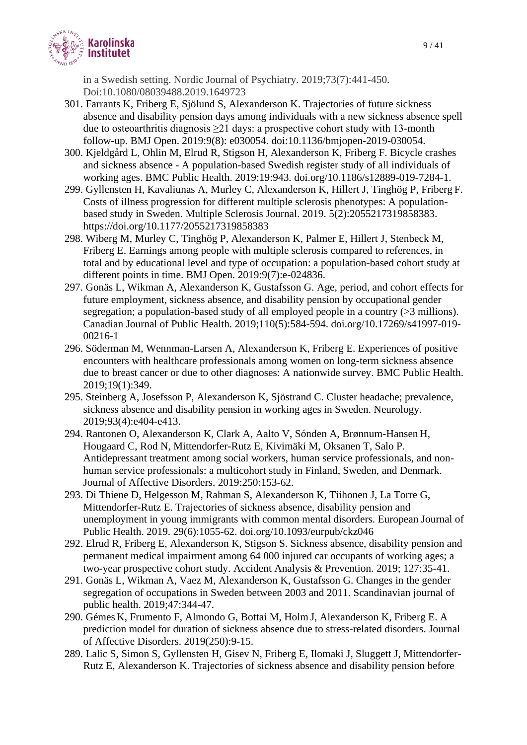

in a Swedish setting. Nordic Journal of Psychiatry. 2019;73(7):441-450. Doi:10.1080/08039488.2019.1649723

- 301. Farrants K, Friberg E, Sjölund S, Alexanderson K. Trajectories of future sickness absence and disability pension days among individuals with a new sickness absence spell due to osteoarthritis diagnosis ≥21 days: a prospective cohort study with 13-month follow-up. BMJ Open. 2019:9(8): e030054. doi:10.1136/bmjopen-2019-030054.
- 300. Kjeldgård L, Ohlin M, Elrud R, Stigson H, Alexanderson K, Friberg F. Bicycle crashes and sickness absence - A population-based Swedish register study of all individuals of working ages. BMC Public Health. 2019:19:943. doi.org/10.1186/s12889-019-7284-1.
- 299. Gyllensten H, Kavaliunas A, Murley C, Alexanderson K, Hillert J, Tinghög P, Friberg F. Costs of illness progression for different multiple sclerosis phenotypes: A populationbased study in Sweden. Multiple Sclerosis Journal. 2019. 5(2):2055217319858383. [https://doi.org/10.1177/2055217319858383](https://doi.org/10.1177%2F2055217319858383)
- 298. Wiberg M, Murley C, Tinghög P, Alexanderson K, Palmer E, Hillert J, Stenbeck M, Friberg E. Earnings among people with multiple sclerosis compared to references, in total and by educational level and type of occupation: a population-based cohort study at different points in time. BMJ Open. 2019:9(7):e-024836.
- 297. Gonäs L, Wikman A, Alexanderson K, Gustafsson G. Age, period, and cohort effects for future employment, sickness absence, and disability pension by occupational gender segregation; a population-based study of all employed people in a country (>3 millions). Canadian Journal of Public Health. 2019;110(5):584-594. doi.org/10.17269/s41997-019- 00216-1
- 296. Söderman M, Wennman-Larsen A, Alexanderson K, Friberg E. Experiences of positive encounters with healthcare professionals among women on long-term sickness absence due to breast cancer or due to other diagnoses: A nationwide survey. BMC Public Health. 2019;19(1):349.
- 295. Steinberg A, Josefsson P, Alexanderson K, Sjöstrand C. Cluster headache; prevalence, sickness absence and disability pension in working ages in Sweden. Neurology. 2019;93(4):e404-e413.
- 294. Rantonen O, Alexanderson K, Clark A, Aalto V, Sónden A, Brønnum-Hansen H, Hougaard C, Rod N, Mittendorfer-Rutz E, Kivimäki M, Oksanen T, Salo P. Antidepressant treatment among social workers, human service professionals, and nonhuman service professionals: a multicohort study in Finland, Sweden, and Denmark. Journal of Affective Disorders. 2019:250:153-62.
- 293. Di Thiene D, Helgesson M, Rahman S, Alexanderson K, Tiihonen J, La Torre G, Mittendorfer-Rutz E. Trajectories of sickness absence, disability pension and unemployment in young immigrants with common mental disorders. European Journal of Public Health. 2019. 29(6):1055-62. [doi.org/10.1093/eurpub/ckz046](https://doi.org/10.1093/eurpub/ckz046)
- 292. Elrud R, Friberg E, Alexanderson K, Stigson S. Sickness absence, disability pension and permanent medical impairment among 64 000 injured car occupants of working ages; a two-year prospective cohort study. Accident Analysis & Prevention. 2019; 127:35-41.
- 291. Gonäs L, Wikman A, Vaez M, Alexanderson K, Gustafsson G. Changes in the gender segregation of occupations in Sweden between 2003 and 2011. Scandinavian journal of public health. 2019;47:344-47.
- 290. Gémes K, Frumento F, Almondo G, Bottai M, Holm J, Alexanderson K, Friberg E. A prediction model for duration of sickness absence due to stress-related disorders. Journal of Affective Disorders. 2019(250):9-15.
- 289. Lalic S, Simon S, Gyllensten H, Gisev N, Friberg E, Ilomaki J, Sluggett J, Mittendorfer-Rutz E, Alexanderson K. Trajectories of sickness absence and disability pension before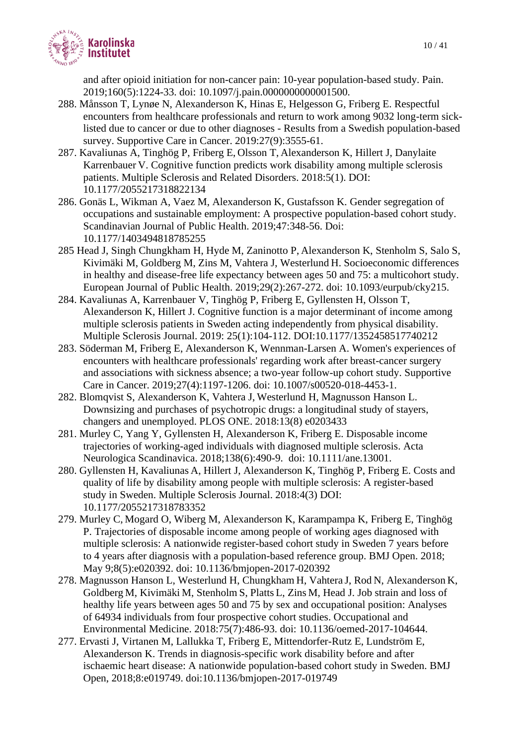

and after opioid initiation for non-cancer pain: 10-year population-based study. Pain. 2019;160(5):1224-33. doi: 10.1097/j.pain.0000000000001500.

- 288. Månsson T, Lynøe N, Alexanderson K, Hinas E, Helgesson G, Friberg E. Respectful encounters from healthcare professionals and return to work among 9032 long-term sicklisted due to cancer or due to other diagnoses - Results from a Swedish population-based survey. Supportive Care in Cancer. 2019:27(9):3555-61.
- 287. Kavaliunas A, Tinghög P, Friberg E, Olsson T, Alexanderson K, Hillert J, Danylaite Karrenbauer V. Cognitive function predicts work disability among multiple sclerosis patients. Multiple Sclerosis and Related Disorders. 2018:5(1). DOI: 10.1177/2055217318822134
- 286. Gonäs L, Wikman A, Vaez M, Alexanderson K, Gustafsson K. Gender segregation of occupations and sustainable employment: A prospective population-based cohort study. Scandinavian Journal of Public Health. 2019;47:348-56. Doi: 10.1177/1403494818785255
- 285 Head J, Singh Chungkham H, Hyde M, Zaninotto P, Alexanderson K, Stenholm S, Salo S, Kivimäki M, Goldberg M, Zins M, Vahtera J, Westerlund H. Socioeconomic differences in healthy and disease-free life expectancy between ages 50 and 75: a multicohort study. European Journal of Public Health. 2019;29(2):267-272. doi: 10.1093/eurpub/cky215.
- 284. Kavaliunas A, Karrenbauer V, Tinghög P, Friberg E, Gyllensten H, Olsson T, Alexanderson K, Hillert J. Cognitive function is a major determinant of income among multiple sclerosis patients in Sweden acting independently from physical disability. Multiple Sclerosis Journal. 2019: 25(1):104-112. DOI:10.1177/1352458517740212
- 283. Söderman M, Friberg E, Alexanderson K, Wennman-Larsen A. Women's experiences of encounters with healthcare professionals' regarding work after breast-cancer surgery and associations with sickness absence; a two-year follow-up cohort study. Supportive Care in Cancer. 2019;27(4):1197-1206. doi: 10.1007/s00520-018-4453-1.
- 282. Blomqvist S, Alexanderson K, Vahtera J, Westerlund H, Magnusson Hanson L. Downsizing and purchases of psychotropic drugs: a longitudinal study of stayers, changers and unemployed. PLOS ONE. 2018:13(8) e0203433
- 281. Murley C, Yang Y, Gyllensten H, Alexanderson K, Friberg E. Disposable income trajectories of working-aged individuals with diagnosed multiple sclerosis. Acta Neurologica Scandinavica. 2018;138(6):490-9. doi: 10.1111/ane.13001.
- 280. Gyllensten H, Kavaliunas A, Hillert J, Alexanderson K, Tinghög P, Friberg E. Costs and quality of life by disability among people with multiple sclerosis: A register-based study in Sweden. Multiple Sclerosis Journal. 2018:4(3) DOI: 10.1177/2055217318783352
- 279. Murley C, Mogard O, Wiberg M, Alexanderson K, Karampampa K, Friberg E, Tinghög P. Trajectories of disposable income among people of working ages diagnosed with multiple sclerosis: A nationwide register-based cohort study in Sweden 7 years before to 4 years after diagnosis with a population-based reference group. BMJ Open. 2018; May 9;8(5):e020392. doi: 10.1136/bmjopen-2017-020392
- 278. Magnusson Hanson L, Westerlund H, Chungkham H, Vahtera J, Rod N, Alexanderson K, Goldberg M, Kivimäki M, Stenholm S, Platts L, Zins M, Head J. Job strain and loss of healthy life years between ages 50 and 75 by sex and occupational position: Analyses of 64934 individuals from four prospective cohort studies. Occupational and Environmental Medicine. 2018:75(7):486-93. doi: 10.1136/oemed-2017-104644.
- 277. Ervasti J, Virtanen M, Lallukka T, Friberg E, Mittendorfer-Rutz E, Lundström E, Alexanderson K. Trends in diagnosis-specific work disability before and after ischaemic heart disease: A nationwide population-based cohort study in Sweden. BMJ Open, 2018;8:e019749. doi:10.1136/bmjopen-2017-019749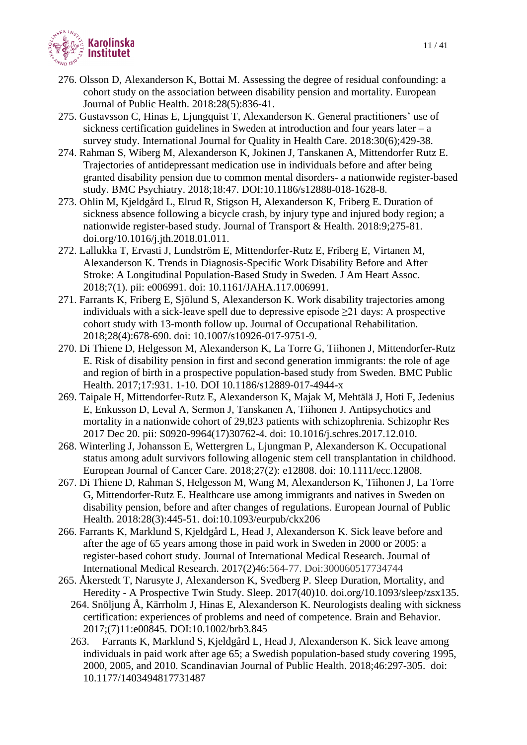

- 276. Olsson D, Alexanderson K, Bottai M. Assessing the degree of residual confounding: a cohort study on the association between disability pension and mortality. European Journal of Public Health. 2018:28(5):836-41.
- 275. Gustavsson C, Hinas E, Ljungquist T, Alexanderson K. General practitioners' use of sickness certification guidelines in Sweden at introduction and four years later – a survey study. International Journal for Quality in Health Care. 2018:30(6);429-38.
- 274. Rahman S, Wiberg M, Alexanderson K, Jokinen J, Tanskanen A, Mittendorfer Rutz E. Trajectories of antidepressant medication use in individuals before and after being granted disability pension due to common mental disorders- a nationwide register-based study. BMC Psychiatry. 2018;18:47. [DOI:10.1186/s12888-018-1628-8.](https://doi.org/10.1186/s12888-018-1628-8)
- 273. Ohlin M, Kjeldgård L, Elrud R, Stigson H, Alexanderson K, Friberg E. Duration of sickness absence following a bicycle crash, by injury type and injured body region; a nationwide register-based study. Journal of Transport & Health. 2018:9;275-81. [doi.org/10.1016/j.jth.2018.01.011.](https://doi.org/10.1016/j.jth.2018.01.011)
- 272. Lallukka T, Ervasti J, Lundström E, Mittendorfer-Rutz E, Friberg E, Virtanen M, Alexanderson K. Trends in Diagnosis-Specific Work Disability Before and After Stroke: A Longitudinal Population-Based Study in Sweden. J Am Heart Assoc. 2018;7(1). pii: e006991. doi: 10.1161/JAHA.117.006991.
- 271. Farrants K, Friberg E, Sjölund S, Alexanderson K. Work disability trajectories among individuals with a sick-leave spell due to depressive episode  $\geq 21$  days: A prospective cohort study with 13-month follow up. Journal of Occupational Rehabilitation. 2018;28(4):678-690. doi: 10.1007/s10926-017-9751-9.
- 270. Di Thiene D, Helgesson M, Alexanderson K, La Torre G, Tiihonen J, Mittendorfer-Rutz E. Risk of disability pension in first and second generation immigrants: the role of age and region of birth in a prospective population-based study from Sweden. BMC Public Health. 2017;17:931. 1-10. DOI 10.1186/s12889-017-4944-x
- 269. Taipale H, Mittendorfer-Rutz E, Alexanderson K, Majak M, Mehtälä J, Hoti F, Jedenius E, Enkusson D, Leval A, Sermon J, Tanskanen A, Tiihonen J. Antipsychotics and mortality in a nationwide cohort of 29,823 patients with schizophrenia. Schizophr Res 2017 Dec 20. pii: S0920-9964(17)30762-4. doi: 10.1016/j.schres.2017.12.010.
- 268. Winterling J, Johansson E, Wettergren L, Ljungman P, Alexanderson K. Occupational status among adult survivors following allogenic stem cell transplantation in childhood. European Journal of Cancer Care. 2018;27(2): e12808. doi: 10.1111/ecc.12808.
- 267. Di Thiene D, Rahman S, Helgesson M, Wang M, Alexanderson K, Tiihonen J, La Torre G, Mittendorfer-Rutz E. Healthcare use among immigrants and natives in Sweden on disability pension, before and after changes of regulations. European Journal of Public Health. 2018:28(3):445-51. doi:10.1093/eurpub/ckx206
- 266. Farrants K, Marklund S, Kjeldgård L, Head J, Alexanderson K. Sick leave before and after the age of 65 years among those in paid work in Sweden in 2000 or 2005: a register-based cohort study. Journal of International Medical Research. Journal of International Medical Research. 2017(2)46:564-77. Doi:300060517734744
- 265. Åkerstedt T, Narusyte J, Alexanderson K, Svedberg P. Sleep Duration, Mortality, and Heredity - A Prospective Twin Study. Sleep. 2017(40)10. doi.org/10.1093/sleep/zsx135.
	- 264. Snöljung  $\AA$ , Kärrholm J, Hinas E, Alexanderson K. Neurologists dealing with sickness certification: experiences of problems and need of competence. Brain and Behavior. 2017;(7)11:e00845. DOI:10.1002/brb3.845
	- 263. Farrants K, Marklund S, Kjeldgård L, Head J, Alexanderson K. Sick leave among individuals in paid work after age 65; a Swedish population-based study covering 1995, 2000, 2005, and 2010. Scandinavian Journal of Public Health. 2018;46:297-305. doi: 10.1177/1403494817731487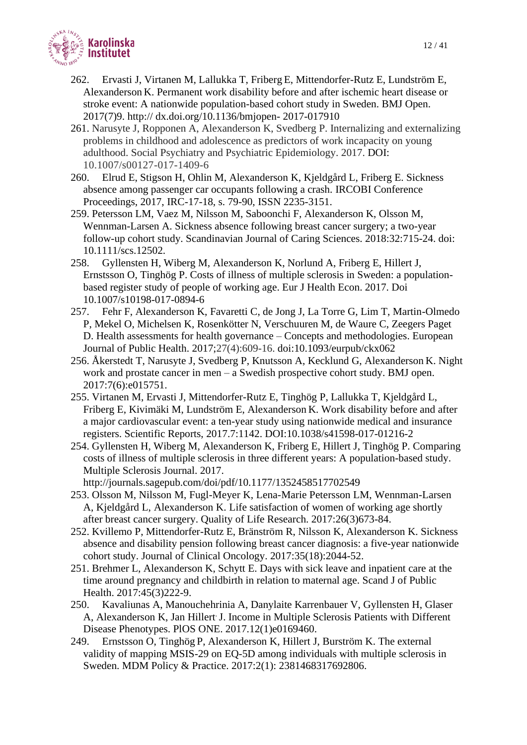

- 262. Ervasti J, Virtanen M, Lallukka T, Friberg E, Mittendorfer-Rutz E, Lundström E, Alexanderson K. Permanent work disability before and after ischemic heart disease or stroke event: A nationwide population-based cohort study in Sweden. BMJ Open. 2017(7)9. http:// dx.doi.org/10.1136/bmjopen- 2017-017910
- 261. Narusyte J, Ropponen A, Alexanderson K, Svedberg P. Internalizing and externalizing problems in childhood and adolescence as predictors of work incapacity on young adulthood. Social Psychiatry and Psychiatric Epidemiology. 2017. DOI: 10.1007/s00127-017-1409-6
- 260. Elrud E, Stigson H, Ohlin M, Alexanderson K, Kjeldgård L, Friberg E. Sickness absence among passenger car occupants following a crash. IRCOBI Conference Proceedings, 2017, IRC-17-18, s. 79-90, ISSN 2235-3151.
- 259. Petersson LM, Vaez M, Nilsson M, Saboonchi F, Alexanderson K, Olsson M, Wennman-Larsen A. Sickness absence following breast cancer surgery; a two-year follow-up cohort study. Scandinavian Journal of Caring Sciences. 2018:32:715-24. doi: 10.1111/scs.12502.
- 258. Gyllensten H, Wiberg M, Alexanderson K, Norlund A, Friberg E, Hillert J, Ernstsson O, Tinghög P. Costs of illness of multiple sclerosis in Sweden: a populationbased register study of people of working age. Eur J Health Econ. 2017. Doi 10.1007/s10198-017-0894-6
- 257. Fehr F, Alexanderson K, Favaretti C, de Jong J, La Torre G, Lim T, Martin-Olmedo P, Mekel O, Michelsen K, Rosenkötter N, Verschuuren M, de Waure C, Zeegers Paget D. Health assessments for health governance – Concepts and methodologies. European Journal of Public Health. 2017;27(4):609-16. doi:10.1093/eurpub/ckx062
- 256. Åkerstedt T, Narusyte J, Svedberg P, Knutsson A, Kecklund G, Alexanderson K. Night work and prostate cancer in men – a Swedish prospective cohort study. BMJ open. 2017:7(6):e015751.
- 255. Virtanen M, Ervasti J, Mittendorfer-Rutz E, Tinghög P, Lallukka T, Kjeldgård L, Friberg E, Kivimäki M, Lundström E, Alexanderson K. Work disability before and after a major cardiovascular event: a ten-year study using nationwide medical and insurance registers. Scientific Reports, 2017.7:1142. DOI:10.1038/s41598-017-01216-2
- 254. Gyllensten H, Wiberg M, Alexanderson K, Friberg E, Hillert J, Tinghög P. Comparing costs of illness of multiple sclerosis in three different years: A population-based study. Multiple Sclerosis Journal. 2017.

http://journals.sagepub.com/doi/pdf/10.1177/1352458517702549

- 253. Olsson M, Nilsson M, Fugl-Meyer K, Lena-Marie Petersson LM, Wennman-Larsen A, Kjeldgård L, Alexanderson K. Life satisfaction of women of working age shortly after breast cancer surgery. Quality of Life Research. 2017:26(3)673-84.
- 252. Kvillemo P, Mittendorfer-Rutz E, Bränström R, Nilsson K, Alexanderson K. Sickness absence and disability pension following breast cancer diagnosis: a five-year nationwide cohort study. Journal of Clinical Oncology. 2017:35(18):2044-52.
- 251. Brehmer L, Alexanderson K, Schytt E. Days with sick leave and inpatient care at the time around pregnancy and childbirth in relation to maternal age. Scand J of Public Health. 2017:45(3)222-9.
- 250. Kavaliunas A, Manouchehrinia A, Danylaite Karrenbauer V, Gyllensten H, Glaser A, Alexanderson K, Jan Hillert. J. Income in Multiple Sclerosis Patients with Different Disease Phenotypes. PlOS ONE. 2017.12(1)e0169460.
- 249. Ernstsson O, Tinghög P, Alexanderson K, Hillert J, Burström K. The external validity of mapping MSIS-29 on EQ-5D among individuals with multiple sclerosis in Sweden. MDM Policy & Practice. 2017:2(1): 2381468317692806.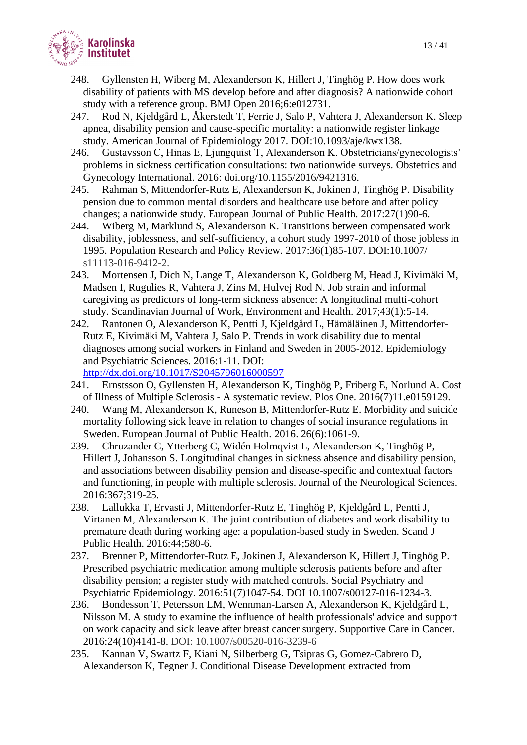

- 248. Gyllensten H, Wiberg M, Alexanderson K, Hillert J, Tinghög P. How does work disability of patients with MS develop before and after diagnosis? A nationwide cohort study with a reference group. BMJ Open 2016;6:e012731.
- 247. Rod N, Kjeldgård L, Åkerstedt T, Ferrie J, Salo P, Vahtera J, Alexanderson K. Sleep apnea, disability pension and cause-specific mortality: a nationwide register linkage study. American Journal of Epidemiology 2017. DOI:10.1093/aje/kwx138.
- 246. Gustavsson C, Hinas E, Ljungquist T, Alexanderson K. Obstetricians/gynecologists' problems in sickness certification consultations: two nationwide surveys. Obstetrics and Gynecology International. 2016: doi.org/10.1155/2016/9421316.
- 245. Rahman S, Mittendorfer-Rutz E, Alexanderson K, Jokinen J, Tinghög P. Disability pension due to common mental disorders and healthcare use before and after policy changes; a nationwide study. European Journal of Public Health. 2017:27(1)90-6.
- 244. Wiberg M, Marklund S, Alexanderson K. Transitions between compensated work disability, joblessness, and self-sufficiency, a cohort study 1997-2010 of those jobless in 1995. Population Research and Policy Review. 2017:36(1)85-107. DOI:10.1007/ s11113-016-9412-2.
- 243. Mortensen J, Dich N, Lange T, Alexanderson K, Goldberg M, Head J, Kivimäki M, Madsen I, Rugulies R, Vahtera J, Zins M, Hulvej Rod N. Job strain and informal caregiving as predictors of long-term sickness absence: A longitudinal multi-cohort study. Scandinavian Journal of Work, Environment and Health. 2017;43(1):5-14.
- 242. Rantonen O, Alexanderson K, Pentti J, Kjeldgård L, Hämäläinen J, Mittendorfer-Rutz E, Kivimäki M, Vahtera J, Salo P. Trends in work disability due to mental diagnoses among social workers in Finland and Sweden in 2005-2012. Epidemiology and Psychiatric Sciences. 2016:1-11. DOI:

<http://dx.doi.org/10.1017/S2045796016000597>

- 241. Ernstsson O, Gyllensten H, Alexanderson K, Tinghög P, Friberg E, Norlund A. Cost of Illness of Multiple Sclerosis - A systematic review. Plos One. 2016(7)11.e0159129.
- 240. Wang M, Alexanderson K, Runeson B, Mittendorfer-Rutz E. Morbidity and suicide mortality following sick leave in relation to changes of social insurance regulations in Sweden. European Journal of Public Health. 2016. 26(6):1061-9.
- 239. Chruzander C, Ytterberg C, Widén Holmqvist L, Alexanderson K, Tinghög P, Hillert J, Johansson S. Longitudinal changes in sickness absence and disability pension, and associations between disability pension and disease-specific and contextual factors and functioning, in people with multiple sclerosis. Journal of the Neurological Sciences. 2016:367;319-25.
- 238. Lallukka T, Ervasti J, Mittendorfer-Rutz E, Tinghög P, Kjeldgård L, Pentti J, Virtanen M, Alexanderson K. The joint contribution of diabetes and work disability to premature death during working age: a population-based study in Sweden. Scand J Public Health. 2016:44;580-6.
- 237. Brenner P, Mittendorfer-Rutz E, Jokinen J, Alexanderson K, Hillert J, Tinghög P. Prescribed psychiatric medication among multiple sclerosis patients before and after disability pension; a register study with matched controls. Social Psychiatry and Psychiatric Epidemiology. 2016:51(7)1047-54. DOI 10.1007/s00127-016-1234-3.
- 236. Bondesson T, Petersson LM, Wennman-Larsen A, Alexanderson K, Kjeldgård L, Nilsson M. A study to examine the influence of health professionals' advice and support on work capacity and sick leave after breast cancer surgery. Supportive Care in Cancer. 2016:24(10)4141-8. DOI: 10.1007/s00520-016-3239-6
- 235. Kannan V, Swartz F, Kiani N, Silberberg G, Tsipras G, Gomez-Cabrero D, Alexanderson K, Tegner J. Conditional Disease Development extracted from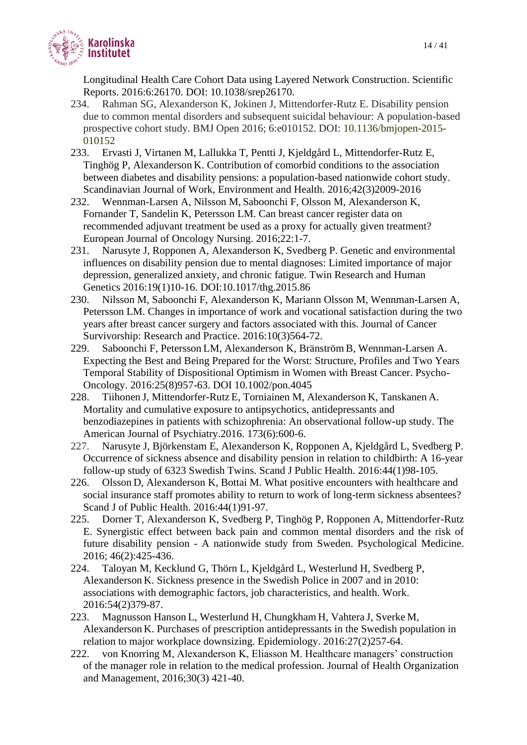

Longitudinal Health Care Cohort Data using Layered Network Construction. Scientific Reports. 2016:6:26170. DOI: 10.1038/srep26170.

- 234. Rahman SG, Alexanderson K, Jokinen J, Mittendorfer-Rutz E. Disability pension due to common mental disorders and subsequent suicidal behaviour: A population-based prospective cohort study. BMJ Open 2016; 6:e010152. DOI: 10.1136/bmjopen-2015- 010152
- 233. Ervasti J, Virtanen M, Lallukka T, Pentti J, Kjeldgård L, Mittendorfer-Rutz E, Tinghög P, Alexanderson K. Contribution of comorbid conditions to the association between diabetes and disability pensions: a population-based nationwide cohort study. Scandinavian Journal of Work, Environment and Health. 2016;42(3)2009-2016
- 232. Wennman-Larsen A, Nilsson M, Saboonchi F, Olsson M, Alexanderson K, Fornander T, Sandelin K, Petersson LM. Can breast cancer register data on recommended adjuvant treatment be used as a proxy for actually given treatment? European Journal of Oncology Nursing. 2016;22:1-7.
- 231. Narusyte J, Ropponen A, Alexanderson K, Svedberg P. Genetic and environmental influences on disability pension due to mental diagnoses: Limited importance of major depression, generalized anxiety, and chronic fatigue. Twin Research and Human Genetics 2016:19(1)10-16. DOI:10.1017/thg.2015.86
- 230. Nilsson M, Saboonchi F, Alexanderson K, Mariann Olsson M, Wennman-Larsen A, Petersson LM. Changes in importance of work and vocational satisfaction during the two years after breast cancer surgery and factors associated with this. Journal of Cancer Survivorship: Research and Practice. 2016:10(3)564-72.
- 229. Saboonchi F, Petersson LM, Alexanderson K, Bränström B, Wennman-Larsen A. Expecting the Best and Being Prepared for the Worst: Structure, Profiles and Two Years Temporal Stability of Dispositional Optimism in Women with Breast Cancer. Psycho-Oncology. 2016:25(8)957-63. DOI 10.1002/pon.4045
- 228. Tiihonen J, Mittendorfer-Rutz E, Torniainen M, Alexanderson K, Tanskanen A. Mortality and cumulative exposure to antipsychotics, antidepressants and benzodiazepines in patients with schizophrenia: An observational follow-up study. The American Journal of Psychiatry.2016. 173(6):600-6.
- 227. Narusyte J, Björkenstam E, Alexanderson K, Ropponen A, Kjeldgård L, Svedberg P. Occurrence of sickness absence and disability pension in relation to childbirth: A 16-year follow-up study of 6323 Swedish Twins. Scand J Public Health. 2016:44(1)98-105.
- 226. Olsson D, Alexanderson K, Bottai M. What positive encounters with healthcare and social insurance staff promotes ability to return to work of long-term sickness absentees? Scand J of Public Health. 2016:44(1)91-97.
- 225. Dorner T, Alexanderson K, Svedberg P, Tinghög P, Ropponen A, Mittendorfer-Rutz E. Synergistic effect between back pain and common mental disorders and the risk of future disability pension - A nationwide study from Sweden. Psychological Medicine. 2016; 46(2):425-436.
- 224. Taloyan M, Kecklund G, Thörn L, Kjeldgård L, Westerlund H, Svedberg P, Alexanderson K. Sickness presence in the Swedish Police in 2007 and in 2010: associations with demographic factors, job characteristics, and health. Work. 2016:54(2)379-87.
- 223. Magnusson Hanson L, Westerlund H, Chungkham H, Vahtera J, Sverke M, Alexanderson K. Purchases of prescription antidepressants in the Swedish population in relation to major workplace downsizing. Epidemiology. 2016:27(2)257-64.
- 222. von Knorring M, Alexanderson K, Eliasson M. Healthcare managers' construction of the manager role in relation to the medical profession. Journal of Health Organization and Management, 2016;30(3) 421-40.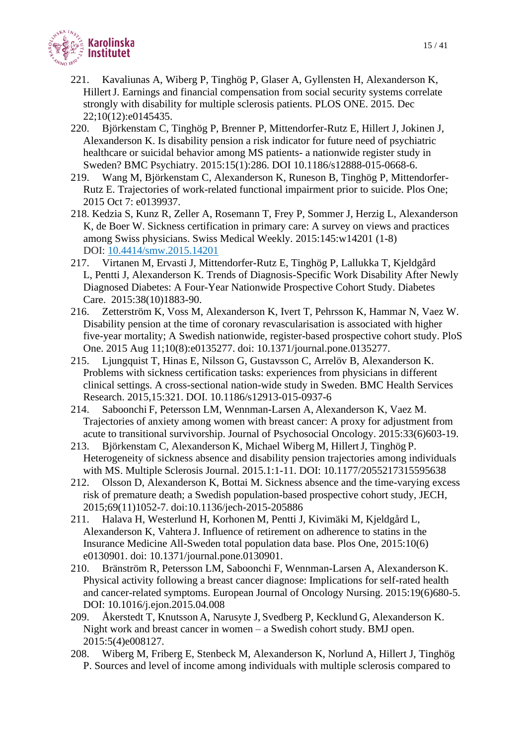

- 221. Kavaliunas A, Wiberg P, Tinghög P, Glaser A, Gyllensten H, Alexanderson K, HillertJ. Earnings and financial compensation from social security systems correlate strongly with disability for multiple sclerosis patients. PLOS ONE. 2015. Dec 22;10(12):e0145435.
- 220. Björkenstam C, Tinghög P, Brenner P, Mittendorfer-Rutz E, Hillert J, Jokinen J, Alexanderson K. Is disability pension a risk indicator for future need of psychiatric healthcare or suicidal behavior among MS patients- a nationwide register study in Sweden? BMC Psychiatry. 2015:15(1):286. DOI 10.1186/s12888-015-0668-6.
- 219. Wang M, Björkenstam C, Alexanderson K, Runeson B, Tinghög P, Mittendorfer-Rutz E. Trajectories of work-related functional impairment prior to suicide. Plos One; 2015 Oct 7: e0139937.
- 218. Kedzia S, Kunz R, Zeller A, Rosemann T, Frey P, Sommer J, Herzig L, Alexanderson K, de Boer W. Sickness certification in primary care: A survey on views and practices among Swiss physicians. Swiss Medical Weekly. 2015:145:w14201 (1-8) DOI: [10.4414/smw.2015.14201](https://doi.org/10.4414/smw.2015.14201)
- 217. Virtanen M, Ervasti J, Mittendorfer-Rutz E, Tinghög P, Lallukka T, Kjeldgård L, Pentti J, Alexanderson K. Trends of Diagnosis-Specific Work Disability After Newly Diagnosed Diabetes: A Four-Year Nationwide Prospective Cohort Study. Diabetes Care. 2015:38(10)1883-90.
- 216. Zetterström K, Voss M, Alexanderson K, Ivert T, Pehrsson K, Hammar N, Vaez W. Disability pension at the time of coronary revascularisation is associated with higher five-year mortality; A Swedish nationwide, register-based prospective cohort study. PloS One. 2015 Aug 11;10(8):e0135277. doi: 10.1371/journal.pone.0135277.
- 215. Ljungquist T, Hinas E, Nilsson G, Gustavsson C, Arrelöv B, Alexanderson K. Problems with sickness certification tasks: experiences from physicians in different clinical settings. A cross-sectional nation-wide study in Sweden. BMC Health Services Research. 2015,15:321. DOI. 10.1186/s12913-015-0937-6
- 214. Saboonchi F, Petersson LM, Wennman-Larsen A, Alexanderson K, Vaez M. Trajectories of anxiety among women with breast cancer: A proxy for adjustment from acute to transitional survivorship. Journal of Psychosocial Oncology. 2015:33(6)603-19.
- 213. Björkenstam C, Alexanderson K, Michael Wiberg M, HillertJ, Tinghög P. Heterogeneity of sickness absence and disability pension trajectories among individuals with MS. Multiple Sclerosis Journal. 2015.1:1-11. DOI: 10.1177/2055217315595638
- 212. Olsson D, Alexanderson K, Bottai M. Sickness absence and the time-varying excess risk of premature death; a Swedish population-based prospective cohort study, JECH, 2015;69(11)1052-7. doi:10.1136/jech-2015-205886
- 211. Halava H, Westerlund H, Korhonen M, Pentti J, Kivimäki M, Kjeldgård L, Alexanderson K, Vahtera J. Influence of retirement on adherence to statins in the Insurance Medicine All-Sweden total population data base. Plos One, 2015:10(6) e0130901. doi: 10.1371/journal.pone.0130901.
- 210. Bränström R, Petersson LM, Saboonchi F, Wennman-Larsen A, Alexanderson K. Physical activity following a breast cancer diagnose: Implications for self-rated health and cancer-related symptoms. European Journal of Oncology Nursing. 2015:19(6)680-5. DOI: 10.1016/j.ejon.2015.04.008
- 209. Åkerstedt T, Knutsson A, Narusyte J, Svedberg P, Kecklund G, Alexanderson K. Night work and breast cancer in women – a Swedish cohort study. BMJ open. 2015:5(4)e008127.
- 208. Wiberg M, Friberg E, Stenbeck M, Alexanderson K, Norlund A, Hillert J, Tinghög P. Sources and level of income among individuals with multiple sclerosis compared to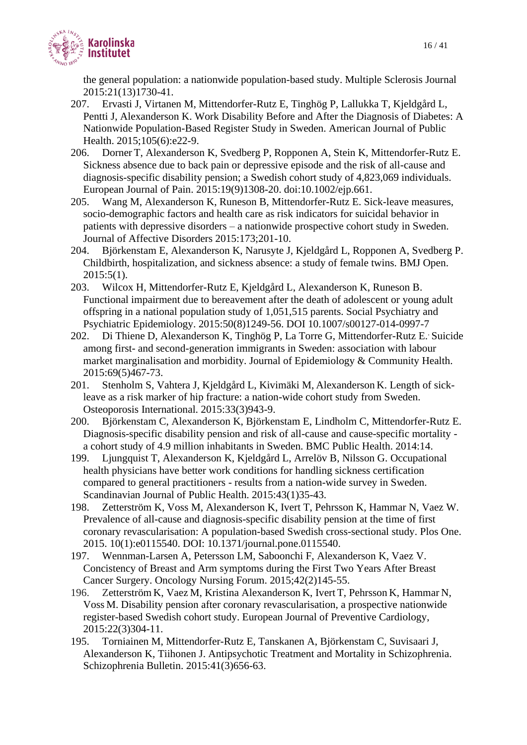

the general population: a nationwide population-based study. Multiple Sclerosis Journal 2015:21(13)1730-41.

- 207. Ervasti J, Virtanen M, Mittendorfer-Rutz E, Tinghög P, Lallukka T, Kjeldgård L, Pentti J, Alexanderson K. Work Disability Before and After the Diagnosis of Diabetes: A Nationwide Population-Based Register Study in Sweden. American Journal of Public Health. 2015;105(6):e22-9.
- 206. Dorner T, Alexanderson K, Svedberg P, Ropponen A, Stein K, Mittendorfer-Rutz E. Sickness absence due to back pain or depressive episode and the risk of all-cause and diagnosis-specific disability pension; a Swedish cohort study of 4,823,069 individuals. European Journal of Pain. 2015:19(9)1308-20. doi:10.1002/ejp.661.
- 205. Wang M, Alexanderson K, Runeson B, Mittendorfer-Rutz E. Sick-leave measures, socio-demographic factors and health care as risk indicators for suicidal behavior in patients with depressive disorders – a nationwide prospective cohort study in Sweden. Journal of Affective Disorders 2015:173;201-10.
- 204. Björkenstam E, Alexanderson K, Narusyte J, Kjeldgård L, Ropponen A, Svedberg P. Childbirth, hospitalization, and sickness absence: a study of female twins. BMJ Open. 2015:5(1).
- 203. Wilcox H, Mittendorfer-Rutz E, Kjeldgård L, Alexanderson K, Runeson B. Functional impairment due to bereavement after the death of adolescent or young adult offspring in a national population study of 1,051,515 parents. Social Psychiatry and Psychiatric Epidemiology. 2015:50(8)1249-56. DOI 10.1007/s00127-014-0997-7
- 202. Di Thiene D, Alexanderson K, Tinghög P, La Torre G, Mittendorfer-Rutz E.. Suicide among first- and second-generation immigrants in Sweden: association with labour market marginalisation and morbidity. Journal of Epidemiology & Community Health. 2015:69(5)467-73.
- 201. Stenholm S, Vahtera J, Kjeldgård L, Kivimäki M, Alexanderson K. Length of sickleave as a risk marker of hip fracture: a nation-wide cohort study from Sweden. Osteoporosis International. 2015:33(3)943-9.
- 200. Björkenstam C, Alexanderson K, Björkenstam E, Lindholm C, Mittendorfer-Rutz E. Diagnosis-specific disability pension and risk of all-cause and cause-specific mortality a cohort study of 4.9 million inhabitants in Sweden. BMC Public Health. 2014:14.
- 199. Ljungquist T, Alexanderson K, Kjeldgård L, Arrelöv B, Nilsson G. Occupational health physicians have better work conditions for handling sickness certification compared to general practitioners - results from a nation-wide survey in Sweden. Scandinavian Journal of Public Health. 2015:43(1)35-43.
- 198. Zetterström K, Voss M, Alexanderson K, Ivert T, Pehrsson K, Hammar N, Vaez W. Prevalence of all-cause and diagnosis-specific disability pension at the time of first coronary revascularisation: A population-based Swedish cross-sectional study. Plos One. 2015. 10(1):e0115540. DOI: 10.1371/journal.pone.0115540.
- 197. Wennman-Larsen A, Petersson LM, Saboonchi F, Alexanderson K, Vaez V. Concistency of Breast and Arm symptoms during the First Two Years After Breast Cancer Surgery. Oncology Nursing Forum. 2015;42(2)145-55.
- 196. Zetterström K, Vaez M, Kristina Alexanderson K, Ivert T, Pehrsson K, Hammar N, Voss M. Disability pension after coronary revascularisation, a prospective nationwide register-based Swedish cohort study. European Journal of Preventive Cardiology, 2015:22(3)304-11.
- 195. Torniainen M, Mittendorfer-Rutz E, Tanskanen A, Björkenstam C, Suvisaari J, Alexanderson K, Tiihonen J. Antipsychotic Treatment and Mortality in Schizophrenia. Schizophrenia Bulletin. 2015:41(3)656-63.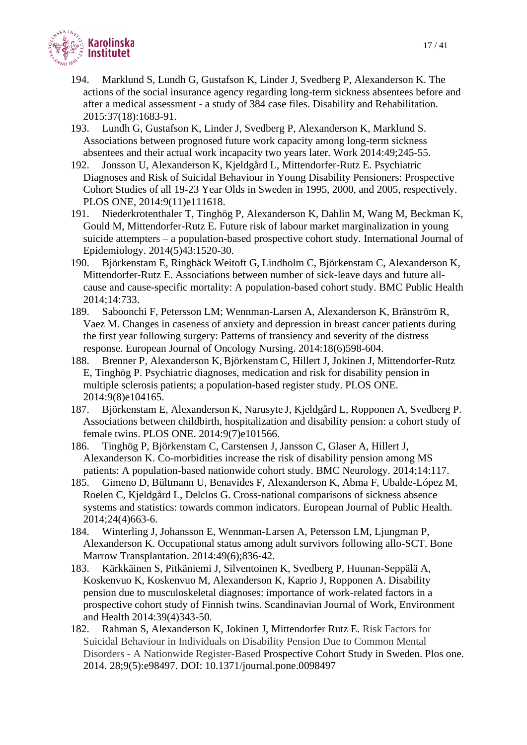

- 194. Marklund S, Lundh G, Gustafson K, Linder J, Svedberg P, Alexanderson K. The actions of the social insurance agency regarding long-term sickness absentees before and after a medical assessment - a study of 384 case files. Disability and Rehabilitation. 2015:37(18):1683-91.
- 193. Lundh G, Gustafson K, Linder J, Svedberg P, Alexanderson K, Marklund S. Associations between prognosed future work capacity among long-term sickness absentees and their actual work incapacity two years later. Work 2014:49;245-55.
- 192. Jonsson U, Alexanderson K, Kjeldgård L, Mittendorfer-Rutz E. Psychiatric Diagnoses and Risk of Suicidal Behaviour in Young Disability Pensioners: Prospective Cohort Studies of all 19-23 Year Olds in Sweden in 1995, 2000, and 2005, respectively. PLOS ONE, 2014:9(11)e111618.
- 191. Niederkrotenthaler T, Tinghög P, Alexanderson K, Dahlin M, Wang M, Beckman K, Gould M, Mittendorfer-Rutz E. Future risk of labour market marginalization in young suicide attempters – a population-based prospective cohort study. International Journal of Epidemiology. 2014(5)43:1520-30.
- 190. Björkenstam E, Ringbäck Weitoft G, Lindholm C, Björkenstam C, Alexanderson K, Mittendorfer-Rutz E. Associations between number of sick-leave days and future allcause and cause-specific mortality: A population-based cohort study. BMC Public Health 2014;14:733.
- 189. Saboonchi F, Petersson LM; Wennman-Larsen A, Alexanderson K, Bränström R, Vaez M. Changes in caseness of anxiety and depression in breast cancer patients during the first year following surgery: Patterns of transiency and severity of the distress response. European Journal of Oncology Nursing. 2014:18(6)598-604.
- 188. Brenner P, Alexanderson K, Björkenstam C, Hillert J, Jokinen J, Mittendorfer-Rutz E, Tinghög P. Psychiatric diagnoses, medication and risk for disability pension in multiple sclerosis patients; a population-based register study. PLOS ONE. 2014:9(8)e104165.
- 187. Björkenstam E, Alexanderson K, Narusyte J, Kjeldgård L, Ropponen A, Svedberg P. Associations between childbirth, hospitalization and disability pension: a cohort study of female twins. PLOS ONE. 2014:9(7)e101566.
- 186. Tinghög P, Björkenstam C, Carstensen J, Jansson C, Glaser A, Hillert J, Alexanderson K. Co-morbidities increase the risk of disability pension among MS patients: A population-based nationwide cohort study. BMC Neurology. 2014;14:117.
- 185. Gimeno D, Bültmann U, Benavides F, Alexanderson K, Abma F, Ubalde-López M, Roelen C, Kjeldgård L, Delclos G. Cross-national comparisons of sickness absence systems and statistics: towards common indicators. European Journal of Public Health. 2014;24(4)663-6.
- 184. Winterling J, Johansson E, Wennman-Larsen A, Petersson LM, Ljungman P, Alexanderson K. Occupational status among adult survivors following allo-SCT. Bone Marrow Transplantation. 2014:49(6);836-42.
- 183. Kärkkäinen S, Pitkäniemi J, Silventoinen K, Svedberg P, Huunan-Seppälä A, Koskenvuo K, Koskenvuo M, Alexanderson K, Kaprio J, Ropponen A. Disability pension due to musculoskeletal diagnoses: importance of work-related factors in a prospective cohort study of Finnish twins. Scandinavian Journal of Work, Environment and Health 2014:39(4)343-50.
- 182. Rahman S, Alexanderson K, Jokinen J, Mittendorfer Rutz E. Risk Factors for Suicidal Behaviour in Individuals on Disability Pension Due to Common Mental Disorders - A Nationwide Register-Based Prospective Cohort Study in Sweden. Plos one. 2014. 28;9(5):e98497. DOI: 10.1371/journal.pone.0098497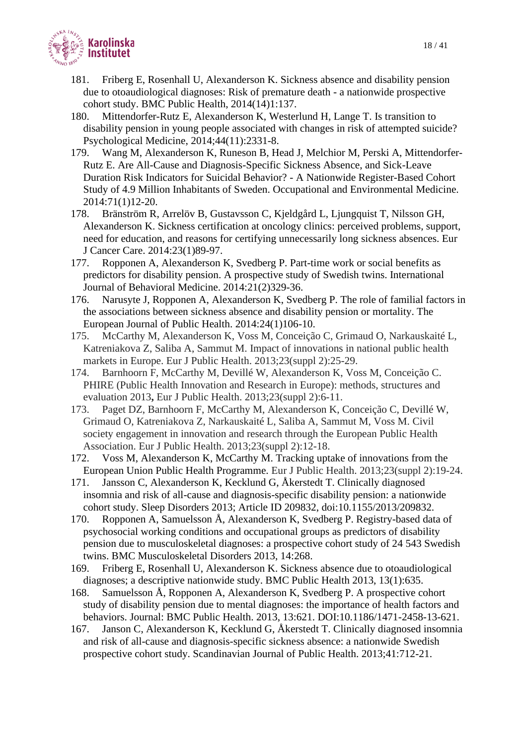

- 181. Friberg E, Rosenhall U, Alexanderson K. Sickness absence and disability pension due to otoaudiological diagnoses: Risk of premature death - a nationwide prospective cohort study. BMC Public Health, 2014(14)1:137.
- 180. Mittendorfer-Rutz E, Alexanderson K, Westerlund H, Lange T. Is transition to disability pension in young people associated with changes in risk of attempted suicide? Psychological Medicine, 2014;44(11):2331-8.
- 179. Wang M, Alexanderson K, Runeson B, Head J, Melchior M, Perski A, Mittendorfer-Rutz E. Are All-Cause and Diagnosis-Specific Sickness Absence, and Sick-Leave Duration Risk Indicators for Suicidal Behavior? - A Nationwide Register-Based Cohort Study of 4.9 Million Inhabitants of Sweden. Occupational and Environmental Medicine. 2014:71(1)12-20.
- 178. Bränström R, Arrelöv B, Gustavsson C, Kjeldgård L, Ljungquist T, Nilsson GH, Alexanderson K. Sickness certification at oncology clinics: perceived problems, support, need for education, and reasons for certifying unnecessarily long sickness absences. Eur J Cancer Care. 2014:23(1)89-97.
- 177. Ropponen A, Alexanderson K, Svedberg P. Part-time work or social benefits as predictors for disability pension. A prospective study of Swedish twins. International Journal of Behavioral Medicine. 2014:21(2)329-36.
- 176. Narusyte J, Ropponen A, Alexanderson K, Svedberg P. The role of familial factors in the associations between sickness absence and disability pension or mortality. The European Journal of Public Health. 2014:24(1)106-10.
- 175. McCarthy M, Alexanderson K, Voss M, Conceição C, Grimaud O, Narkauskaité L, Katreniakova Z, Saliba A, Sammut M. Impact of innovations in national public health markets in Europe. Eur J Public Health. 2013;23(suppl 2):25-29.
- 174. Barnhoorn F, McCarthy M, Devillé W, Alexanderson K, Voss M, Conceição C. PHIRE (Public Health Innovation and Research in Europe): methods, structures and evaluation 2013**,** Eur J Public Health. 2013;23(suppl 2):6-11.
- 173. Paget DZ, Barnhoorn F, McCarthy M, Alexanderson K, Conceição C, Devillé W, Grimaud O, Katreniakova Z, Narkauskaité L, Saliba A, Sammut M, Voss M. Civil society engagement in innovation and research through the European Public Health Association. Eur J Public Health. 2013;23(suppl 2):12-18.
- 172. Voss M, Alexanderson K, McCarthy M. Tracking uptake of innovations from the European Union Public Health Programme. Eur J Public Health. 2013;23(suppl 2):19-24.
- 171. Jansson C, Alexanderson K, Kecklund G, Åkerstedt T. Clinically diagnosed insomnia and risk of all-cause and diagnosis-specific disability pension: a nationwide cohort study. Sleep Disorders 2013; Article ID 209832, doi:10.1155/2013/209832.
- 170. Ropponen A, Samuelsson Å, Alexanderson K, Svedberg P. Registry-based data of psychosocial working conditions and occupational groups as predictors of disability pension due to musculoskeletal diagnoses: a prospective cohort study of 24 543 Swedish twins. BMC Musculoskeletal Disorders 2013, 14:268.
- 169. Friberg E, Rosenhall U, Alexanderson K. Sickness absence due to otoaudiological diagnoses; a descriptive nationwide study. BMC Public Health 2013, 13(1):635.
- 168. Samuelsson Å, Ropponen A, Alexanderson K, Svedberg P. A prospective cohort study of disability pension due to mental diagnoses: the importance of health factors and behaviors. Journal: BMC Public Health. 2013, 13:621. DOI:10.1186/1471-2458-13-621.
- 167. Janson C, Alexanderson K, Kecklund G, Åkerstedt T. Clinically diagnosed insomnia and risk of all-cause and diagnosis-specific sickness absence: a nationwide Swedish prospective cohort study. Scandinavian Journal of Public Health. 2013;41:712-21.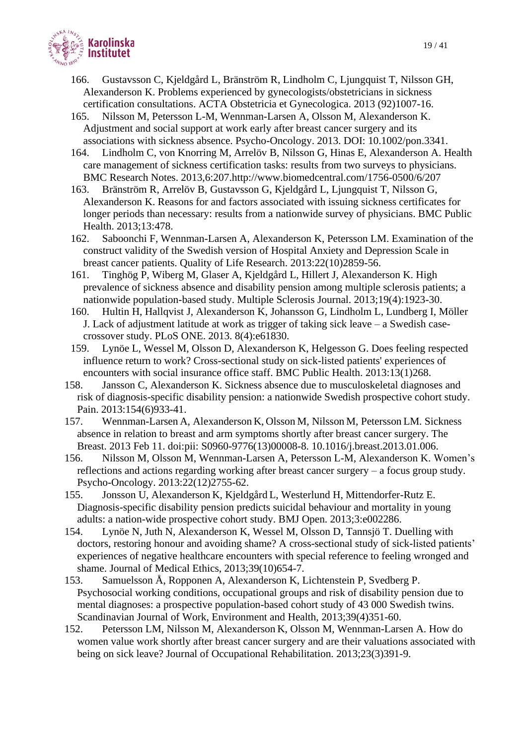

- 166. Gustavsson C, Kjeldgård L, Bränström R, Lindholm C, Ljungquist T, Nilsson GH, Alexanderson K. Problems experienced by gynecologists/obstetricians in sickness certification consultations. ACTA Obstetricia et Gynecologica. 2013 (92)1007-16.
- 165. Nilsson M, Petersson L-M, Wennman-Larsen A, Olsson M, Alexanderson K. Adjustment and social support at work early after breast cancer surgery and its associations with sickness absence. Psycho-Oncology. 2013. DOI: 10.1002/pon.3341.
- 164. Lindholm C, von Knorring M, Arrelöv B, Nilsson G, Hinas E, Alexanderson A. Health care management of sickness certification tasks: results from two surveys to physicians. BMC Research Notes. 2013,6:207.http://www.biomedcentral.com/1756-0500/6/207
- 163. Bränström R, Arrelöv B, Gustavsson G, Kjeldgård L, Ljungquist T, Nilsson G, Alexanderson K. Reasons for and factors associated with issuing sickness certificates for longer periods than necessary: results from a nationwide survey of physicians. BMC Public Health. 2013;13:478.
- 162. Saboonchi F, Wennman-Larsen A, Alexanderson K, Petersson LM. Examination of the construct validity of the Swedish version of Hospital Anxiety and Depression Scale in breast cancer patients. Quality of Life Research. 2013:22(10)2859-56.
- 161. Tinghög P, Wiberg M, Glaser A, Kjeldgård L, Hillert J, Alexanderson K. High prevalence of sickness absence and disability pension among multiple sclerosis patients; a nationwide population-based study. Multiple Sclerosis Journal. 2013;19(4):1923-30.
- 160. Hultin H, Hallqvist J, Alexanderson K, Johansson G, Lindholm L, Lundberg I, Möller J. Lack of adjustment latitude at work as trigger of taking sick leave – a Swedish casecrossover study. PLoS ONE. 2013. 8(4):e61830.
- 159. Lynöe L, Wessel M, Olsson D, Alexanderson K, Helgesson G. Does feeling respected influence return to work? Cross-sectional study on sick-listed patients' experiences of encounters with social insurance office staff. BMC Public Health. 2013:13(1)268.
- 158. Jansson C, Alexanderson K. Sickness absence due to musculoskeletal diagnoses and risk of diagnosis-specific disability pension: a nationwide Swedish prospective cohort study. Pain. 2013:154(6)933-41.
- 157. Wennman-Larsen A, Alexanderson K, Olsson M, Nilsson M, Petersson LM. Sickness absence in relation to breast and arm symptoms shortly after breast cancer surgery. The Breast. 2013 Feb 11. doi:pii: S0960-9776(13)00008-8. 10.1016/j.breast.2013.01.006.
- 156. Nilsson M, Olsson M, Wennman-Larsen A, Petersson L-M, Alexanderson K. Women's reflections and actions regarding working after breast cancer surgery – a focus group study. Psycho-Oncology. 2013:22(12)2755-62.
- 155. Jonsson U, Alexanderson K, Kjeldgård L, Westerlund H, Mittendorfer-Rutz E. Diagnosis-specific disability pension predicts suicidal behaviour and mortality in young adults: a nation-wide prospective cohort study. BMJ Open. 2013;3:e002286.
- 154. Lynöe N, Juth N, Alexanderson K, Wessel M, Olsson D, Tannsjö T. Duelling with doctors, restoring honour and avoiding shame? A cross-sectional study of sick-listed patients' experiences of negative healthcare encounters with special reference to feeling wronged and shame. Journal of Medical Ethics, 2013;39(10)654-7.
- 153. Samuelsson Å, Ropponen A, Alexanderson K, Lichtenstein P, Svedberg P. Psychosocial working conditions, occupational groups and risk of disability pension due to mental diagnoses: a prospective population-based cohort study of 43 000 Swedish twins. Scandinavian Journal of Work, Environment and Health, 2013;39(4)351-60.
- 152. Petersson LM, Nilsson M, Alexanderson K, Olsson M, Wennman-Larsen A. How do women value work shortly after breast cancer surgery and are their valuations associated with being on sick leave? Journal of Occupational Rehabilitation. 2013;23(3)391-9.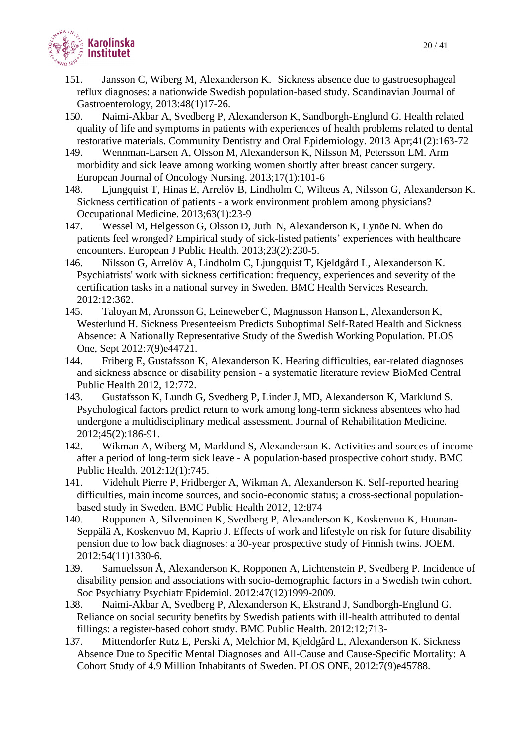

- 151. Jansson C, Wiberg M, Alexanderson K. Sickness absence due to gastroesophageal reflux diagnoses: a nationwide Swedish population-based study. Scandinavian Journal of Gastroenterology, 2013:48(1)17-26.
- 150. Naimi-Akbar A, Svedberg P, Alexanderson K, Sandborgh-Englund G. Health related quality of life and symptoms in patients with experiences of health problems related to dental restorative materials. Community Dentistry and Oral Epidemiology. 2013 Apr;41(2):163-72
- 149. Wennman-Larsen A, Olsson M, Alexanderson K, Nilsson M, Petersson LM. Arm morbidity and sick leave among working women shortly after breast cancer surgery. European Journal of Oncology Nursing. 2013;17(1):101-6
- 148. Ljungquist T, Hinas E, Arrelöv B, Lindholm C, Wilteus A, Nilsson G, Alexanderson K. Sickness certification of patients - a work environment problem among physicians? Occupational Medicine. 2013;63(1):23-9
- 147. Wessel M, Helgesson G, Olsson D, Juth N, Alexanderson K, Lynöe N. When do patients feel wronged? Empirical study of sick-listed patients' experiences with healthcare encounters. European J Public Health. 2013;23(2):230-5.
- 146. Nilsson G, Arrelöv A, Lindholm C, Ljungquist T, Kjeldgård L, Alexanderson K. Psychiatrists' work with sickness certification: frequency, experiences and severity of the certification tasks in a national survey in Sweden. BMC Health Services Research. 2012:12:362.
- 145. Taloyan M, Aronsson G, Leineweber C, Magnusson Hanson L, Alexanderson K, Westerlund H. Sickness Presenteeism Predicts Suboptimal Self-Rated Health and Sickness Absence: A Nationally Representative Study of the Swedish Working Population. PLOS One, Sept 2012:7(9)e44721.
- 144. Friberg E, Gustafsson K, Alexanderson K. Hearing difficulties, ear-related diagnoses and sickness absence or disability pension - a systematic literature review BioMed Central Public Health 2012, 12:772.
- 143. Gustafsson K, Lundh G, Svedberg P, Linder J, MD, Alexanderson K, Marklund S. Psychological factors predict return to work among long-term sickness absentees who had undergone a multidisciplinary medical assessment. Journal of Rehabilitation Medicine. 2012;45(2):186-91.
- 142. Wikman A, Wiberg M, Marklund S, Alexanderson K. Activities and sources of income after a period of long-term sick leave - A population-based prospective cohort study. BMC Public Health. 2012:12(1):745.
- 141. Videhult Pierre P, Fridberger A, Wikman A, Alexanderson K. Self-reported hearing difficulties, main income sources, and socio-economic status; a cross-sectional populationbased study in Sweden. BMC Public Health 2012, 12:874
- 140. Ropponen A, Silvenoinen K, Svedberg P, Alexanderson K, Koskenvuo K, Huunan-Seppälä A, Koskenvuo M, Kaprio J. Effects of work and lifestyle on risk for future disability pension due to low back diagnoses: a 30-year prospective study of Finnish twins. JOEM. 2012:54(11)1330-6.
- 139. Samuelsson Å, Alexanderson K, Ropponen A, Lichtenstein P, Svedberg P. Incidence of disability pension and associations with socio-demographic factors in a Swedish twin cohort. Soc Psychiatry Psychiatr Epidemiol. 2012:47(12)1999-2009.
- 138. Naimi-Akbar A, Svedberg P, Alexanderson K, Ekstrand J, Sandborgh-Englund G. Reliance on social security benefits by Swedish patients with ill-health attributed to dental fillings: a register-based cohort study. BMC Public Health. 2012:12;713-
- 137. Mittendorfer Rutz E, Perski A, Melchior M, Kjeldgård L, Alexanderson K. Sickness Absence Due to Specific Mental Diagnoses and All-Cause and Cause-Specific Mortality: A Cohort Study of 4.9 Million Inhabitants of Sweden. PLOS ONE, 2012:7(9)e45788.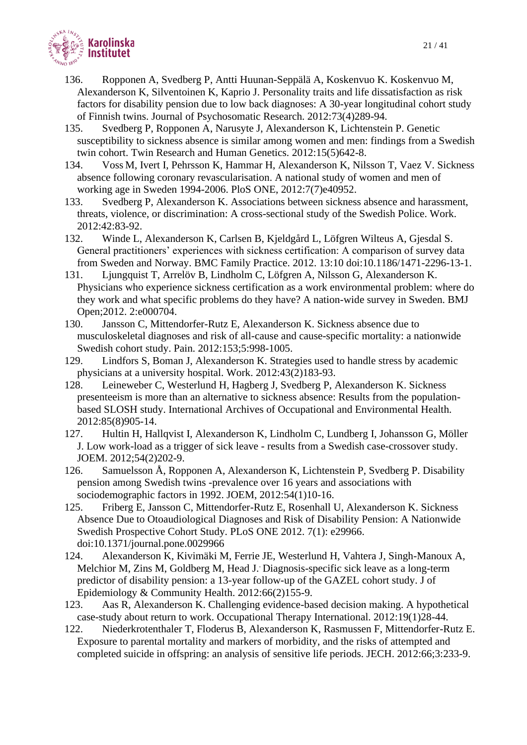

- 136. Ropponen A, Svedberg P, Antti Huunan-Seppälä A, Koskenvuo K. Koskenvuo M, Alexanderson K, Silventoinen K, Kaprio J. Personality traits and life dissatisfaction as risk factors for disability pension due to low back diagnoses: A 30-year longitudinal cohort study of Finnish twins. Journal of Psychosomatic Research. 2012:73(4)289-94.
- 135. Svedberg P, Ropponen A, Narusyte J, Alexanderson K, Lichtenstein P. Genetic susceptibility to sickness absence is similar among women and men: findings from a Swedish twin cohort. Twin Research and Human Genetics. 2012:15(5)642-8.
- 134. Voss M, Ivert I, Pehrsson K, Hammar H, Alexanderson K, Nilsson T, Vaez V. Sickness absence following coronary revascularisation. A national study of women and men of working age in Sweden 1994-2006. PloS ONE, 2012:7(7)e40952.
- 133. Svedberg P, Alexanderson K. Associations between sickness absence and harassment, threats, violence, or discrimination: A cross-sectional study of the Swedish Police. Work. 2012:42:83-92.
- 132. Winde L, Alexanderson K, Carlsen B, Kjeldgård L, Löfgren Wilteus A, Gjesdal S. General practitioners' experiences with sickness certification: A comparison of survey data from Sweden and Norway. BMC Family Practice. 2012. 13:10 doi:10.1186/1471-2296-13-1.
- 131. Ljungquist T, Arrelöv B, Lindholm C, Löfgren A, Nilsson G, Alexanderson K. Physicians who experience sickness certification as a work environmental problem: where do they work and what specific problems do they have? A nation-wide survey in Sweden. BMJ Open;2012. 2:e000704.
- 130. Jansson C, Mittendorfer-Rutz E, Alexanderson K. Sickness absence due to musculoskeletal diagnoses and risk of all-cause and cause-specific mortality: a nationwide Swedish cohort study. Pain. 2012:153;5:998-1005.
- 129. Lindfors S, Boman J, Alexanderson K. Strategies used to handle stress by academic physicians at a university hospital. Work. 2012:43(2)183-93.
- 128. Leineweber C, Westerlund H, Hagberg J, Svedberg P, Alexanderson K. Sickness presenteeism is more than an alternative to sickness absence: Results from the populationbased SLOSH study. International Archives of Occupational and Environmental Health. 2012:85(8)905-14.
- 127. Hultin H, Hallqvist I, Alexanderson K, Lindholm C, Lundberg I, Johansson G, Möller J. Low work-load as a trigger of sick leave - results from a Swedish case-crossover study. JOEM. 2012;54(2)202-9.
- 126. Samuelsson Å, Ropponen A, Alexanderson K, Lichtenstein P, Svedberg P. Disability pension among Swedish twins -prevalence over 16 years and associations with sociodemographic factors in 1992. JOEM, 2012:54(1)10-16.
- 125. Friberg E, Jansson C, Mittendorfer-Rutz E, Rosenhall U, Alexanderson K. Sickness Absence Due to Otoaudiological Diagnoses and Risk of Disability Pension: A Nationwide Swedish Prospective Cohort Study. PLoS ONE 2012. 7(1): e29966. doi:10.1371/journal.pone.0029966
- 124. Alexanderson K, Kivimäki M, Ferrie JE, Westerlund H, Vahtera J, Singh-Manoux A, Melchior M, Zins M, Goldberg M, Head J.. Diagnosis-specific sick leave as a long-term predictor of disability pension: a 13-year follow-up of the GAZEL cohort study. J of Epidemiology & Community Health. 2012:66(2)155-9.
- 123. Aas R, Alexanderson K. Challenging evidence-based decision making. A hypothetical case-study about return to work. Occupational Therapy International. 2012:19(1)28-44.
- 122. Niederkrotenthaler T, Floderus B, Alexanderson K, Rasmussen F, Mittendorfer-Rutz E. Exposure to parental mortality and markers of morbidity, and the risks of attempted and completed suicide in offspring: an analysis of sensitive life periods. JECH. 2012:66;3:233-9.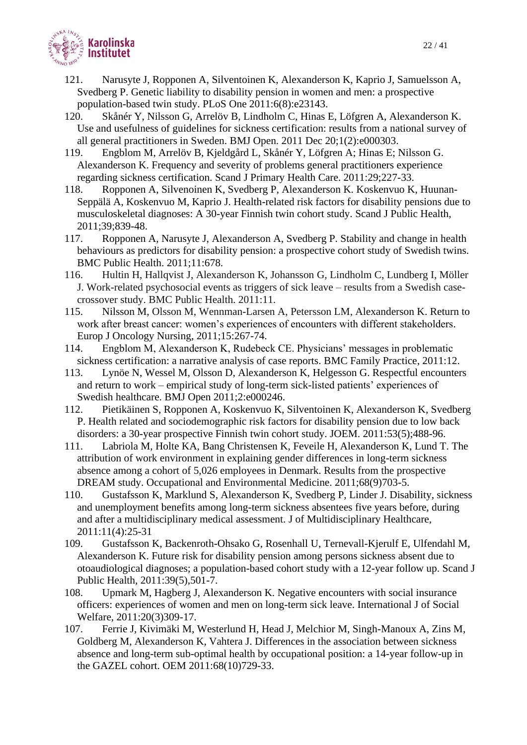

- 121. Narusyte J, Ropponen A, Silventoinen K, Alexanderson K, Kaprio J, Samuelsson A, Svedberg P. Genetic liability to disability pension in women and men: a prospective population-based twin study. PLoS One 2011:6(8):e23143.
- 120. Skånér Y, Nilsson G, Arrelöv B, Lindholm C, Hinas E, Löfgren A, Alexanderson K. Use and usefulness of guidelines for sickness certification: results from a national survey of all general practitioners in Sweden. BMJ Open. 2011 Dec 20;1(2):e000303.
- 119. Engblom M, Arrelöv B, Kjeldgård L, Skånér Y, Löfgren A; Hinas E; Nilsson G. Alexanderson K. Frequency and severity of problems general practitioners experience regarding sickness certification. Scand J Primary Health Care. 2011:29;227-33.
- 118. Ropponen A, Silvenoinen K, Svedberg P, Alexanderson K. Koskenvuo K, Huunan-Seppälä A, Koskenvuo M, Kaprio J. Health-related risk factors for disability pensions due to musculoskeletal diagnoses: A 30-year Finnish twin cohort study. Scand J Public Health, 2011;39;839-48.
- 117. Ropponen A, Narusyte J, Alexanderson A, Svedberg P. Stability and change in health behaviours as predictors for disability pension: a prospective cohort study of Swedish twins. BMC Public Health. 2011;11:678.
- 116. Hultin H, Hallqvist J, Alexanderson K, Johansson G, Lindholm C, Lundberg I, Möller J. Work-related psychosocial events as triggers of sick leave – results from a Swedish casecrossover study. BMC Public Health. 2011:11.
- 115. Nilsson M, Olsson M, Wennman-Larsen A, Petersson LM, Alexanderson K. Return to work after breast cancer: women's experiences of encounters with different stakeholders. Europ J Oncology Nursing, 2011;15:267-74.
- 114. Engblom M, Alexanderson K, Rudebeck CE. Physicians' messages in problematic sickness certification: a narrative analysis of case reports. BMC Family Practice, 2011:12.
- 113. Lynöe N, Wessel M, Olsson D, Alexanderson K, Helgesson G. Respectful encounters and return to work – empirical study of long-term sick-listed patients' experiences of Swedish healthcare. BMJ Open 2011;2:e000246.
- 112. Pietikäinen S, Ropponen A, Koskenvuo K, Silventoinen K, Alexanderson K, Svedberg P. Health related and sociodemographic risk factors for disability pension due to low back disorders: a 30-year prospective Finnish twin cohort study. JOEM. 2011:53(5);488-96.
- 111. Labriola M, Holte KA, Bang Christensen K, Feveile H, Alexanderson K, Lund T. The attribution of work environment in explaining gender differences in long-term sickness absence among a cohort of 5,026 employees in Denmark. Results from the prospective DREAM study. Occupational and Environmental Medicine. 2011;68(9)703-5.
- 110. Gustafsson K, Marklund S, Alexanderson K, Svedberg P, Linder J. Disability, sickness and unemployment benefits among long-term sickness absentees five years before, during and after a multidisciplinary medical assessment. J of Multidisciplinary Healthcare, 2011:11(4):25-31
- 109. Gustafsson K, Backenroth-Ohsako G, Rosenhall U, Ternevall-Kjerulf E, Ulfendahl M, Alexanderson K. Future risk for disability pension among persons sickness absent due to otoaudiological diagnoses; a population-based cohort study with a 12-year follow up. Scand J Public Health, 2011:39(5),501-7.
- 108. Upmark M, Hagberg J, Alexanderson K. Negative encounters with social insurance officers: experiences of women and men on long-term sick leave. International J of Social Welfare, 2011:20(3)309-17.
- 107. Ferrie J, Kivimäki M, Westerlund H, Head J, Melchior M, Singh-Manoux A, Zins M, Goldberg M, Alexanderson K, Vahtera J. Differences in the association between sickness absence and long-term sub-optimal health by occupational position: a 14-year follow-up in the GAZEL cohort. OEM 2011:68(10)729-33.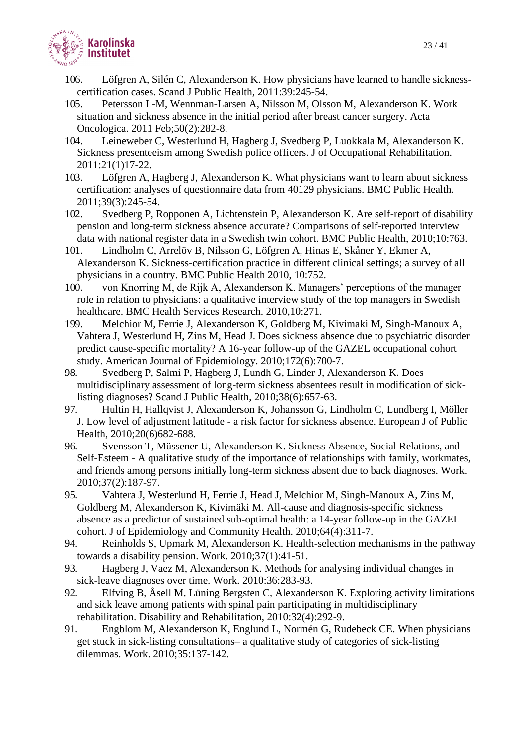

- 106. Löfgren A, Silén C, Alexanderson K. How physicians have learned to handle sicknesscertification cases. Scand J Public Health, 2011:39:245-54.
- 105. Petersson L-M, Wennman-Larsen A, Nilsson M, Olsson M, Alexanderson K. Work situation and sickness absence in the initial period after breast cancer surgery. Acta Oncologica. 2011 Feb;50(2):282-8.
- 104. Leineweber C, Westerlund H, Hagberg J, Svedberg P, Luokkala M, Alexanderson K. Sickness presenteeism among Swedish police officers. J of Occupational Rehabilitation. 2011:21(1)17-22.
- 103. Löfgren A, Hagberg J, Alexanderson K. What physicians want to learn about sickness certification: analyses of questionnaire data from 40129 physicians. BMC Public Health. 2011;39(3):245-54.
- 102. Svedberg P, Ropponen A, Lichtenstein P, Alexanderson K. Are self-report of disability pension and long-term sickness absence accurate? Comparisons of self-reported interview data with national register data in a Swedish twin cohort. BMC Public Health, 2010;10:763.
- 101. Lindholm C, Arrelöv B, Nilsson G, Löfgren A, Hinas E, Skåner Y, Ekmer A, Alexanderson K. Sickness-certification practice in different clinical settings; a survey of all physicians in a country. BMC Public Health 2010, 10:752.
- 100. von Knorring M, de Rijk A, Alexanderson K. Managers' perceptions of the manager role in relation to physicians: a qualitative interview study of the top managers in Swedish healthcare. BMC Health Services Research. 2010,10:271.
- 199. Melchior M, Ferrie J, Alexanderson K, Goldberg M, Kivimaki M, Singh-Manoux A, Vahtera J, Westerlund H, Zins M, Head J. Does sickness absence due to psychiatric disorder predict cause-specific mortality? A 16-year follow-up of the GAZEL occupational cohort study. American Journal of Epidemiology. 2010;172(6):700-7.
- 98. Svedberg P, Salmi P, Hagberg J, Lundh G, Linder J, Alexanderson K. Does multidisciplinary assessment of long-term sickness absentees result in modification of sicklisting diagnoses? Scand J Public Health, 2010;38(6):657-63.
- 97. Hultin H, Hallqvist J, Alexanderson K, Johansson G, Lindholm C, Lundberg I, Möller J. Low level of adjustment latitude - a risk factor for sickness absence. European J of Public Health, 2010;20(6)682-688.
- 96. Svensson T, Müssener U, Alexanderson K. Sickness Absence, Social Relations, and Self-Esteem - A qualitative study of the importance of relationships with family, workmates, and friends among persons initially long-term sickness absent due to back diagnoses. Work. 2010;37(2):187-97.
- 95. Vahtera J, Westerlund H, Ferrie J, Head J, Melchior M, Singh-Manoux A, Zins M, Goldberg M, Alexanderson K, Kivimäki M. All-cause and diagnosis-specific sickness absence as a predictor of sustained sub-optimal health: a 14-year follow-up in the GAZEL cohort. J of Epidemiology and Community Health. 2010;64(4):311-7.
- 94. Reinholds S, Upmark M, Alexanderson K. Health-selection mechanisms in the pathway towards a disability pension. Work. 2010;37(1):41-51.
- 93. Hagberg J, Vaez M, Alexanderson K. Methods for analysing individual changes in sick-leave diagnoses over time. Work. 2010:36:283-93.
- 92. Elfving B, Åsell M, Lüning Bergsten C, Alexanderson K. Exploring activity limitations and sick leave among patients with spinal pain participating in multidisciplinary rehabilitation. Disability and Rehabilitation, 2010:32(4):292-9.
- 91. Engblom M, Alexanderson K, Englund L, Normén G, Rudebeck CE. When physicians get stuck in sick-listing consultations– a qualitative study of categories of sick-listing dilemmas. Work. 2010;35:137-142.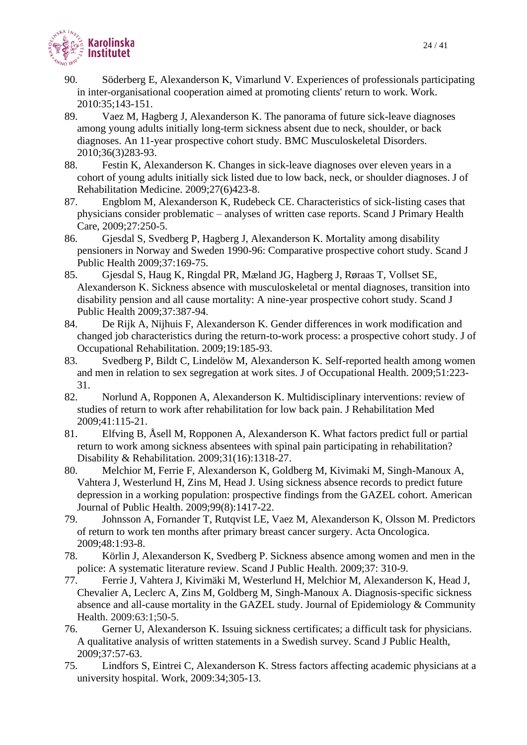

- 90. Söderberg E, Alexanderson K, Vimarlund V. Experiences of professionals participating in inter-organisational cooperation aimed at promoting clients' return to work. Work. 2010:35;143-151.
- 89. Vaez M, Hagberg J, Alexanderson K. The panorama of future sick-leave diagnoses among young adults initially long-term sickness absent due to neck, shoulder, or back diagnoses. An 11-year prospective cohort study. BMC Musculoskeletal Disorders. 2010;36(3)283-93.
- 88. Festin K, Alexanderson K. Changes in sick-leave diagnoses over eleven years in a cohort of young adults initially sick listed due to low back, neck, or shoulder diagnoses. J of Rehabilitation Medicine. 2009;27(6)423-8.
- 87. Engblom M, Alexanderson K, Rudebeck CE. Characteristics of sick-listing cases that physicians consider problematic – analyses of written case reports. Scand J Primary Health Care, 2009;27:250-5.
- 86. Gjesdal S, Svedberg P, Hagberg J, Alexanderson K. Mortality among disability pensioners in Norway and Sweden 1990-96: Comparative prospective cohort study. Scand J Public Health 2009;37:169-75.
- 85. Gjesdal S, Haug K, Ringdal PR, Mæland JG, Hagberg J, Røraas T, Vollset SE, Alexanderson K. Sickness absence with musculoskeletal or mental diagnoses, transition into disability pension and all cause mortality: A nine-year prospective cohort study. Scand J Public Health 2009;37:387-94.
- 84. De Rijk A, Nijhuis F, Alexanderson K. Gender differences in work modification and changed job characteristics during the return-to-work process: a prospective cohort study. J of Occupational Rehabilitation. 2009;19:185-93.
- 83. Svedberg P, Bildt C, Lindelöw M, Alexanderson K. Self-reported health among women and men in relation to sex segregation at work sites. J of Occupational Health. 2009;51:223- 31.
- 82. Norlund A, Ropponen A, Alexanderson K. Multidisciplinary interventions: review of studies of return to work after rehabilitation for low back pain. J Rehabilitation Med 2009;41:115-21.
- 81. Elfving B, Åsell M, Ropponen A, Alexanderson K. What factors predict full or partial return to work among sickness absentees with spinal pain participating in rehabilitation? Disability & Rehabilitation. 2009;31(16):1318-27.
- 80. Melchior M, Ferrie F, Alexanderson K, Goldberg M, Kivimaki M, Singh-Manoux A, Vahtera J, Westerlund H, Zins M, Head J. Using sickness absence records to predict future depression in a working population: prospective findings from the GAZEL cohort. American Journal of Public Health. 2009;99(8):1417-22.
- 79. Johnsson A, Fornander T, Rutqvist LE, Vaez M, Alexanderson K, Olsson M. Predictors of return to work ten months after primary breast cancer surgery. Acta Oncologica. 2009;48:1:93-8.
- 78. Körlin J, Alexanderson K, Svedberg P. Sickness absence among women and men in the police: A systematic literature review. Scand J Public Health. 2009;37: 310-9.
- 77. Ferrie J, Vahtera J, Kivimäki M, Westerlund H, Melchior M, Alexanderson K, Head J, Chevalier A, Leclerc A, Zins M, Goldberg M, Singh-Manoux A. Diagnosis-specific sickness absence and all-cause mortality in the GAZEL study. Journal of Epidemiology & Community Health. 2009:63:1;50-5.
- 76. Gerner U, Alexanderson K. Issuing sickness certificates; a difficult task for physicians. A qualitative analysis of written statements in a Swedish survey. Scand J Public Health, 2009;37:57-63.
- 75. Lindfors S, Eintrei C, Alexanderson K. Stress factors affecting academic physicians at a university hospital. Work, 2009:34;305-13.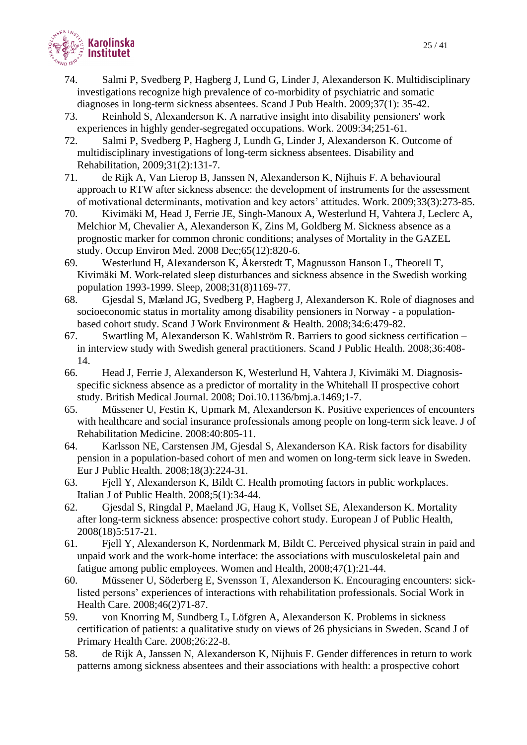

- 74. Salmi P, Svedberg P, Hagberg J, Lund G, Linder J, Alexanderson K. Multidisciplinary investigations recognize high prevalence of co-morbidity of psychiatric and somatic diagnoses in long-term sickness absentees. Scand J Pub Health. 2009;37(1): 35-42.
- 73. Reinhold S, Alexanderson K. A narrative insight into disability pensioners' work experiences in highly gender-segregated occupations. Work. 2009:34;251-61.
- 72. Salmi P, Svedberg P, Hagberg J, Lundh G, Linder J, Alexanderson K. Outcome of multidisciplinary investigations of long-term sickness absentees. Disability and Rehabilitation, 2009;31(2):131-7.
- 71. de Rijk A, Van Lierop B, Janssen N, Alexanderson K, Nijhuis F. A behavioural approach to RTW after sickness absence: the development of instruments for the assessment of motivational determinants, motivation and key actors' attitudes. Work. 2009;33(3):273-85.
- 70. Kivimäki M, Head J, Ferrie JE, Singh-Manoux A, Westerlund H, Vahtera J, Leclerc A, Melchior M, Chevalier A, Alexanderson K, Zins M, Goldberg M. Sickness absence as a prognostic marker for common chronic conditions; analyses of Mortality in the GAZEL study. Occup Environ Med. 2008 Dec;65(12):820-6.
- 69. Westerlund H, Alexanderson K, Åkerstedt T, Magnusson Hanson L, Theorell T, Kivimäki M. Work-related sleep disturbances and sickness absence in the Swedish working population 1993-1999. Sleep, 2008;31(8)1169-77.
- 68. Gjesdal S, Mæland JG, Svedberg P, Hagberg J, Alexanderson K. Role of diagnoses and socioeconomic status in mortality among disability pensioners in Norway - a populationbased cohort study. Scand J Work Environment & Health. 2008;34:6:479-82.
- 67. Swartling M, Alexanderson K. Wahlström R. Barriers to good sickness certification in interview study with Swedish general practitioners. Scand J Public Health. 2008;36:408- 14.
- 66. Head J, Ferrie J, Alexanderson K, Westerlund H, Vahtera J, Kivimäki M. Diagnosisspecific sickness absence as a predictor of mortality in the Whitehall II prospective cohort study. British Medical Journal. 2008; Doi.10.1136/bmj.a.1469;1-7.
- 65. Müssener U, Festin K, Upmark M, Alexanderson K. Positive experiences of encounters with healthcare and social insurance professionals among people on long-term sick leave. J of Rehabilitation Medicine. 2008:40:805-11.
- 64. Karlsson NE, Carstensen JM, Gjesdal S, Alexanderson KA. Risk factors for disability pension in a population-based cohort of men and women on long-term sick leave in Sweden. Eur J Public Health. 2008;18(3):224-31.
- 63. Fjell Y, Alexanderson K, Bildt C. Health promoting factors in public workplaces. Italian J of Public Health. 2008;5(1):34-44.
- 62. Gjesdal S, Ringdal P, Maeland JG, Haug K, Vollset SE, Alexanderson K. Mortality after long-term sickness absence: prospective cohort study. European J of Public Health, 2008(18)5:517-21.
- 61. Fjell Y, Alexanderson K, Nordenmark M, Bildt C. Perceived physical strain in paid and unpaid work and the work-home interface: the associations with musculoskeletal pain and fatigue among public employees. Women and Health, 2008;47(1):21-44.
- 60. Müssener U, Söderberg E, Svensson T, Alexanderson K. Encouraging encounters: sicklisted persons' experiences of interactions with rehabilitation professionals. Social Work in Health Care. 2008;46(2)71-87.
- 59. von Knorring M, Sundberg L, Löfgren A, Alexanderson K. Problems in sickness certification of patients: a qualitative study on views of 26 physicians in Sweden. Scand J of Primary Health Care. 2008;26:22-8.
- 58. de Rijk A, Janssen N, Alexanderson K, Nijhuis F. Gender differences in return to work patterns among sickness absentees and their associations with health: a prospective cohort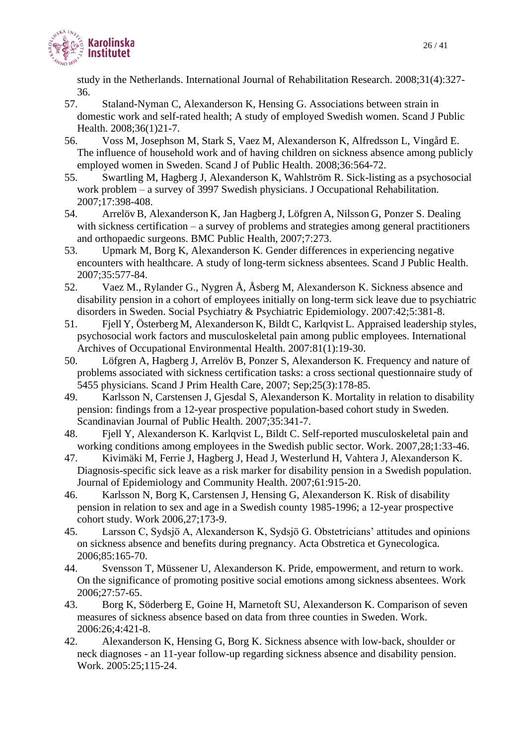

study in the Netherlands. International Journal of Rehabilitation Research. 2008;31(4):327- 36.

- 57. Staland-Nyman C, Alexanderson K, Hensing G. Associations between strain in domestic work and self-rated health; A study of employed Swedish women. Scand J Public Health. 2008;36(1)21-7.
- 56. Voss M, Josephson M, Stark S, Vaez M, Alexanderson K, Alfredsson L, Vingård E. The influence of household work and of having children on sickness absence among publicly employed women in Sweden. Scand J of Public Health. 2008;36:564-72.
- 55. Swartling M, Hagberg J, Alexanderson K, Wahlström R. Sick-listing as a psychosocial work problem – a survey of 3997 Swedish physicians. J Occupational Rehabilitation. 2007;17:398-408.
- 54. Arrelöv B, Alexanderson K, Jan Hagberg J, Löfgren A, Nilsson G, Ponzer S. Dealing with sickness certification – a survey of problems and strategies among general practitioners and orthopaedic surgeons. BMC Public Health, 2007;7:273.
- 53. Upmark M, Borg K, Alexanderson K. Gender differences in experiencing negative encounters with healthcare. A study of long-term sickness absentees. Scand J Public Health. 2007;35:577-84.
- 52. Vaez M., Rylander G., Nygren Å, Åsberg M, Alexanderson K. Sickness absence and disability pension in a cohort of employees initially on long-term sick leave due to psychiatric disorders in Sweden. Social Psychiatry & Psychiatric Epidemiology. 2007:42;5:381-8.
- 51. Fjell Y, Österberg M, Alexanderson K, Bildt C, Karlqvist L. Appraised leadership styles, psychosocial work factors and musculoskeletal pain among public employees. International Archives of Occupational Environmental Health. 2007:81(1):19-30.
- 50. Löfgren A, Hagberg J, Arrelöv B, Ponzer S, Alexanderson K. Frequency and nature of problems associated with sickness certification tasks: a cross sectional questionnaire study of 5455 physicians. Scand J Prim Health Care, 2007; Sep;25(3):178-85.
- 49. Karlsson N, Carstensen J, Gjesdal S, Alexanderson K. Mortality in relation to disability pension: findings from a 12-year prospective population-based cohort study in Sweden. Scandinavian Journal of Public Health. 2007;35:341-7.
- 48. Fjell Y, Alexanderson K. Karlqvist L, Bildt C. Self-reported musculoskeletal pain and working conditions among employees in the Swedish public sector. Work. 2007,28;1:33-46.
- 47. Kivimäki M, Ferrie J, Hagberg J, Head J, Westerlund H, Vahtera J, Alexanderson K. Diagnosis-specific sick leave as a risk marker for disability pension in a Swedish population. Journal of Epidemiology and Community Health. 2007;61:915-20.
- 46. Karlsson N, Borg K, Carstensen J, Hensing G, Alexanderson K. Risk of disability pension in relation to sex and age in a Swedish county 1985-1996; a 12-year prospective cohort study. Work 2006,27;173-9.
- 45. Larsson C, Sydsjö A, Alexanderson K, Sydsjö G. Obstetricians' attitudes and opinions on sickness absence and benefits during pregnancy. Acta Obstretica et Gynecologica. 2006;85:165-70.
- 44. Svensson T, Müssener U, Alexanderson K. Pride, empowerment, and return to work. On the significance of promoting positive social emotions among sickness absentees. Work 2006;27:57-65.
- 43. Borg K, Söderberg E, Goine H, Marnetoft SU, Alexanderson K. Comparison of seven measures of sickness absence based on data from three counties in Sweden. Work. 2006:26;4:421-8.
- 42. Alexanderson K, Hensing G, Borg K. Sickness absence with low-back, shoulder or neck diagnoses - an 11-year follow-up regarding sickness absence and disability pension. Work. 2005:25;115-24.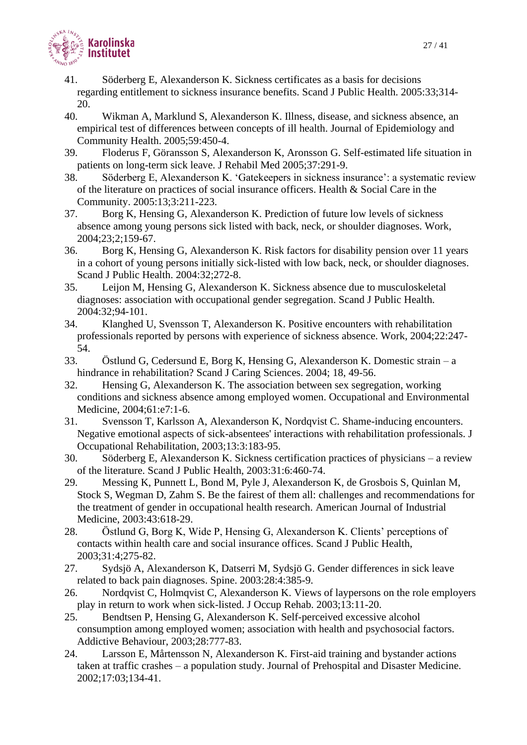

- 41. Söderberg E, Alexanderson K. Sickness certificates as a basis for decisions regarding entitlement to sickness insurance benefits. Scand J Public Health. 2005:33;314- 20.
- 40. Wikman A, Marklund S, Alexanderson K. Illness, disease, and sickness absence, an empirical test of differences between concepts of ill health. Journal of Epidemiology and Community Health. 2005;59:450-4.
- 39. Floderus F, Göransson S, Alexanderson K, Aronsson G. Self-estimated life situation in patients on long-term sick leave. J Rehabil Med 2005;37:291-9.
- 38. Söderberg E, Alexanderson K. 'Gatekeepers in sickness insurance': a systematic review of the literature on practices of social insurance officers. Health & Social Care in the Community. 2005:13;3:211-223.
- 37. Borg K, Hensing G, Alexanderson K. Prediction of future low levels of sickness absence among young persons sick listed with back, neck, or shoulder diagnoses. Work, 2004;23;2;159-67.
- 36. Borg K, Hensing G, Alexanderson K. Risk factors for disability pension over 11 years in a cohort of young persons initially sick-listed with low back, neck, or shoulder diagnoses. Scand J Public Health. 2004:32;272-8.
- 35. Leijon M, Hensing G, Alexanderson K. Sickness absence due to musculoskeletal diagnoses: association with occupational gender segregation. Scand J Public Health. 2004:32;94-101.
- 34. Klanghed U, Svensson T, Alexanderson K. Positive encounters with rehabilitation professionals reported by persons with experience of sickness absence. Work, 2004;22:247- 54.
- 33. Östlund G, Cedersund E, Borg K, Hensing G, Alexanderson K. Domestic strain a hindrance in rehabilitation? Scand J Caring Sciences. 2004; 18, 49-56.
- 32. Hensing G, Alexanderson K. The association between sex segregation, working conditions and sickness absence among employed women. Occupational and Environmental Medicine, 2004;61:e7:1-6.
- 31. Svensson T, Karlsson A, Alexanderson K, Nordqvist C. Shame-inducing encounters. Negative emotional aspects of sick-absentees' interactions with rehabilitation professionals. J Occupational Rehabilitation, 2003;13:3:183-95.
- 30. Söderberg E, Alexanderson K. Sickness certification practices of physicians a review of the literature. Scand J Public Health, 2003:31:6:460-74.
- 29. Messing K, Punnett L, Bond M, Pyle J, Alexanderson K, de Grosbois S, Quinlan M, Stock S, Wegman D, Zahm S. Be the fairest of them all: challenges and recommendations for the treatment of gender in occupational health research. American Journal of Industrial Medicine, 2003:43:618-29.
- 28. Östlund G, Borg K, Wide P, Hensing G, Alexanderson K. Clients' perceptions of contacts within health care and social insurance offices. Scand J Public Health, 2003;31:4;275-82.
- 27. Sydsjö A, Alexanderson K, Datserri M, Sydsjö G. Gender differences in sick leave related to back pain diagnoses. Spine. 2003:28:4:385-9.
- 26. Nordqvist C, Holmqvist C, Alexanderson K. Views of laypersons on the role employers play in return to work when sick-listed. J Occup Rehab. 2003;13:11-20.
- 25. Bendtsen P, Hensing G, Alexanderson K. Self-perceived excessive alcohol consumption among employed women; association with health and psychosocial factors. Addictive Behaviour, 2003;28:777-83.
- 24. Larsson E, Mårtensson N, Alexanderson K. First-aid training and bystander actions taken at traffic crashes – a population study. Journal of Prehospital and Disaster Medicine. 2002;17:03;134-41.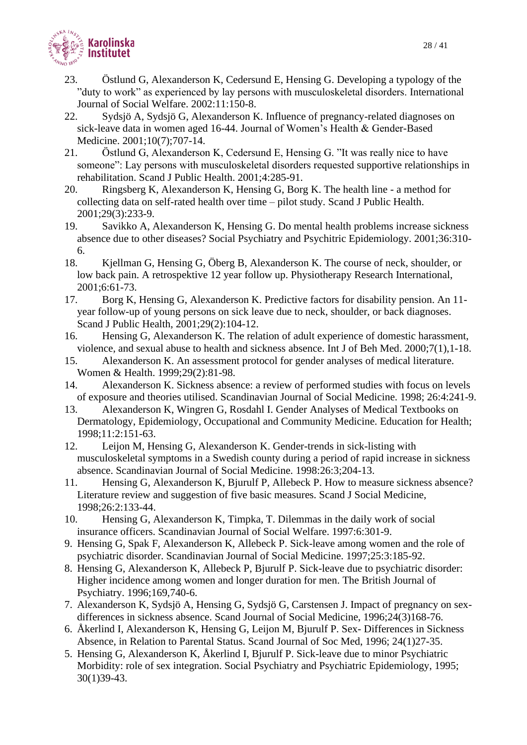

- 23. Östlund G, Alexanderson K, Cedersund E, Hensing G. Developing a typology of the "duty to work" as experienced by lay persons with musculoskeletal disorders. International Journal of Social Welfare. 2002:11:150-8.
- 22. Sydsjö A, Sydsjö G, Alexanderson K. Influence of pregnancy-related diagnoses on sick-leave data in women aged 16-44. Journal of Women's Health & Gender-Based Medicine. 2001;10(7);707-14.
- 21. Östlund G, Alexanderson K, Cedersund E, Hensing G. "It was really nice to have someone": Lay persons with musculoskeletal disorders requested supportive relationships in rehabilitation. Scand J Public Health. 2001;4:285-91.
- 20. Ringsberg K, Alexanderson K, Hensing G, Borg K. The health line a method for collecting data on self-rated health over time – pilot study. Scand J Public Health. 2001;29(3):233-9.
- 19. Savikko A, Alexanderson K, Hensing G. Do mental health problems increase sickness absence due to other diseases? Social Psychiatry and Psychitric Epidemiology. 2001;36:310- 6.
- 18. Kjellman G, Hensing G, Öberg B, Alexanderson K. The course of neck, shoulder, or low back pain. A retrospektive 12 year follow up. Physiotherapy Research International, 2001;6:61-73.
- 17. Borg K, Hensing G, Alexanderson K. Predictive factors for disability pension. An 11 year follow-up of young persons on sick leave due to neck, shoulder, or back diagnoses. Scand J Public Health, 2001;29(2):104-12.
- 16. Hensing G, Alexanderson K. The relation of adult experience of domestic harassment, violence, and sexual abuse to health and sickness absence. Int J of Beh Med. 2000;7(1),1-18.
- 15. Alexanderson K. An assessment protocol for gender analyses of medical literature. Women & Health. 1999;29(2):81-98.
- 14. Alexanderson K. Sickness absence: a review of performed studies with focus on levels of exposure and theories utilised. Scandinavian Journal of Social Medicine. 1998; 26:4:241-9.
- 13. Alexanderson K, Wingren G, Rosdahl I. Gender Analyses of Medical Textbooks on Dermatology, Epidemiology, Occupational and Community Medicine. Education for Health; 1998;11:2:151-63.
- 12. Leijon M, Hensing G, Alexanderson K. Gender-trends in sick-listing with musculoskeletal symptoms in a Swedish county during a period of rapid increase in sickness absence. Scandinavian Journal of Social Medicine. 1998:26:3;204-13.
- 11. Hensing G, Alexanderson K, Bjurulf P, Allebeck P. How to measure sickness absence? Literature review and suggestion of five basic measures. Scand J Social Medicine, 1998;26:2:133-44.
- 10. Hensing G, Alexanderson K, Timpka, T. Dilemmas in the daily work of social insurance officers. Scandinavian Journal of Social Welfare. 1997:6:301-9.
- 9. Hensing G, Spak F, Alexanderson K, Allebeck P. Sick-leave among women and the role of psychiatric disorder. Scandinavian Journal of Social Medicine. 1997;25:3:185-92.
- 8. Hensing G, Alexanderson K, Allebeck P, Bjurulf P. Sick-leave due to psychiatric disorder: Higher incidence among women and longer duration for men. The British Journal of Psychiatry. 1996;169,740-6.
- 7. Alexanderson K, Sydsjö A, Hensing G, Sydsjö G, Carstensen J. Impact of pregnancy on sexdifferences in sickness absence. Scand Journal of Social Medicine, 1996;24(3)168-76.
- 6. Åkerlind I, Alexanderson K, Hensing G, Leijon M, Bjurulf P. Sex- Differences in Sickness Absence, in Relation to Parental Status. Scand Journal of Soc Med, 1996; 24(1)27-35.
- 5. Hensing G, Alexanderson K, Åkerlind I, Bjurulf P. Sick-leave due to minor Psychiatric Morbidity: role of sex integration. Social Psychiatry and Psychiatric Epidemiology, 1995; 30(1)39-43.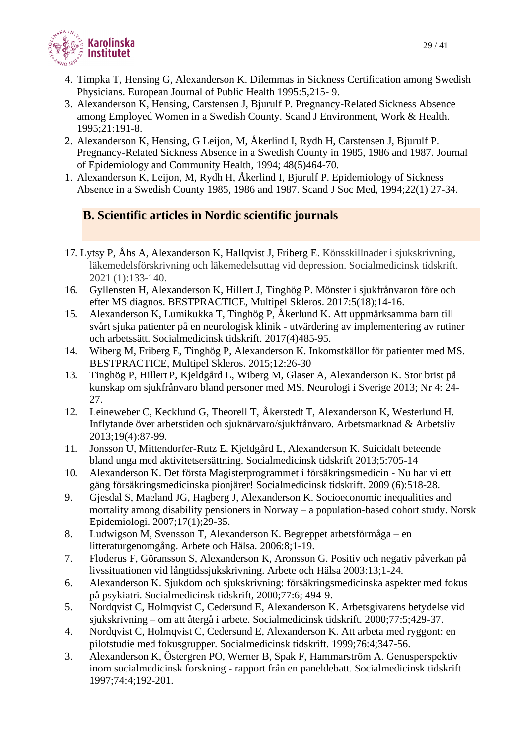

- 4. Timpka T, Hensing G, Alexanderson K. Dilemmas in Sickness Certification among Swedish Physicians. European Journal of Public Health 1995:5,215- 9.
- 3. Alexanderson K, Hensing, Carstensen J, Bjurulf P. Pregnancy-Related Sickness Absence among Employed Women in a Swedish County. Scand J Environment, Work & Health. 1995;21:191-8.
- 2. Alexanderson K, Hensing, G Leijon, M, Åkerlind I, Rydh H, Carstensen J, Bjurulf P. Pregnancy-Related Sickness Absence in a Swedish County in 1985, 1986 and 1987. Journal of Epidemiology and Community Health, 1994; 48(5)464-70.
- 1. Alexanderson K, Leijon, M, Rydh H, Åkerlind I, Bjurulf P. Epidemiology of Sickness Absence in a Swedish County 1985, 1986 and 1987. Scand J Soc Med, 1994;22(1) 27-34.

# **B. Scientific articles in Nordic scientific journals**

- 17. Lytsy P, Åhs A, Alexanderson K, Hallqvist J, Friberg E. Könsskillnader i sjukskrivning, läkemedelsförskrivning och läkemedelsuttag vid depression. Socialmedicinsk tidskrift. 2021 (1):133-140.
- 16. Gyllensten H, Alexanderson K, Hillert J, Tinghög P. Mönster i sjukfrånvaron före och efter MS diagnos. BESTPRACTICE, Multipel Skleros. 2017:5(18);14-16.
- 15. Alexanderson K, Lumikukka T, Tinghög P, Åkerlund K. Att uppmärksamma barn till svårt sjuka patienter på en neurologisk klinik - utvärdering av implementering av rutiner och arbetssätt. Socialmedicinsk tidskrift. 2017(4)485-95.
- 14. Wiberg M, Friberg E, Tinghög P, Alexanderson K. Inkomstkällor för patienter med MS. BESTPRACTICE, Multipel Skleros. 2015;12:26-30
- 13. Tinghög P, Hillert P, Kjeldgård L, Wiberg M, Glaser A, Alexanderson K. Stor brist på kunskap om sjukfrånvaro bland personer med MS. Neurologi i Sverige 2013; Nr 4: 24- 27.
- 12. Leineweber C, Kecklund G, Theorell T, Åkerstedt T, Alexanderson K, Westerlund H. Inflytande över arbetstiden och sjuknärvaro/sjukfrånvaro. Arbetsmarknad & Arbetsliv 2013;19(4):87-99.
- 11. Jonsson U, Mittendorfer-Rutz E. Kjeldgård L, Alexanderson K. Suicidalt beteende bland unga med aktivitetsersättning. Socialmedicinsk tidskrift 2013;5:705-14
- 10. Alexanderson K. Det första Magisterprogrammet i försäkringsmedicin Nu har vi ett gäng försäkringsmedicinska pionjärer! Socialmedicinsk tidskrift. 2009 (6):518-28.
- 9. Gjesdal S, Maeland JG, Hagberg J, Alexanderson K. Socioeconomic inequalities and mortality among disability pensioners in Norway – a population-based cohort study. Norsk Epidemiologi. 2007;17(1);29-35.
- 8. Ludwigson M, Svensson T, Alexanderson K. Begreppet arbetsförmåga en litteraturgenomgång. Arbete och Hälsa. 2006:8;1-19.
- 7. Floderus F, Göransson S, Alexanderson K, Aronsson G. Positiv och negativ påverkan på livssituationen vid långtidssjukskrivning. Arbete och Hälsa 2003:13;1-24.
- 6. Alexanderson K. Sjukdom och sjukskrivning: försäkringsmedicinska aspekter med fokus på psykiatri. Socialmedicinsk tidskrift, 2000;77:6; 494-9.
- 5. Nordqvist C, Holmqvist C, Cedersund E, Alexanderson K. Arbetsgivarens betydelse vid sjukskrivning – om att återgå i arbete. Socialmedicinsk tidskrift. 2000;77:5;429-37.
- 4. Nordqvist C, Holmqvist C, Cedersund E, Alexanderson K. Att arbeta med ryggont: en pilotstudie med fokusgrupper. Socialmedicinsk tidskrift. 1999;76:4;347-56.
- 3. Alexanderson K, Östergren PO, Werner B, Spak F, Hammarström A. Genusperspektiv inom socialmedicinsk forskning - rapport från en paneldebatt. Socialmedicinsk tidskrift 1997;74:4;192-201.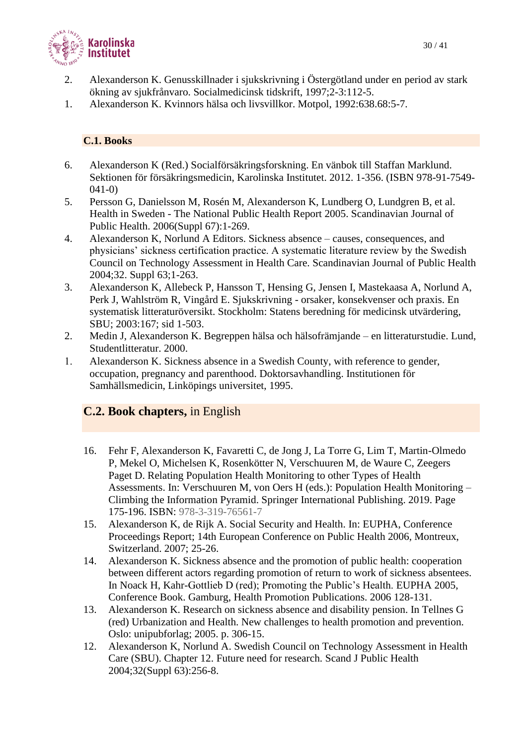

- 2. Alexanderson K. Genusskillnader i sjukskrivning i Östergötland under en period av stark ökning av sjukfrånvaro. Socialmedicinsk tidskrift, 1997;2-3:112-5.
- 1. Alexanderson K. Kvinnors hälsa och livsvillkor. Motpol, 1992:638.68:5-7.

### **C.1. Books**

- 6. Alexanderson K (Red.) Socialförsäkringsforskning. En vänbok till Staffan Marklund. Sektionen för försäkringsmedicin, Karolinska Institutet. 2012. 1-356. (ISBN 978-91-7549- 041-0)
- 5. Persson G, Danielsson M, Rosén M, Alexanderson K, Lundberg O, Lundgren B, et al. Health in Sweden - The National Public Health Report 2005. Scandinavian Journal of Public Health. 2006(Suppl 67):1-269.
- 4. Alexanderson K, Norlund A Editors. Sickness absence causes, consequences, and physicians' sickness certification practice. A systematic literature review by the Swedish Council on Technology Assessment in Health Care. Scandinavian Journal of Public Health 2004;32. Suppl 63;1-263.
- 3. Alexanderson K, Allebeck P, Hansson T, Hensing G, Jensen I, Mastekaasa A, Norlund A, Perk J, Wahlström R, Vingård E. Sjukskrivning - orsaker, konsekvenser och praxis. En systematisk litteraturöversikt. Stockholm: Statens beredning för medicinsk utvärdering, SBU; 2003:167; sid 1-503.
- 2. Medin J, Alexanderson K. Begreppen hälsa och hälsofrämjande en litteraturstudie. Lund, Studentlitteratur. 2000.
- Alexanderson K. Sickness absence in a Swedish County, with reference to gender, occupation, pregnancy and parenthood. Doktorsavhandling. Institutionen för Samhällsmedicin, Linköpings universitet, 1995.

## **C.2. Book chapters,** in English

- 16. Fehr F, Alexanderson K, Favaretti C, de Jong J, La Torre G, Lim T, Martin-Olmedo P, Mekel O, Michelsen K, Rosenkötter N, Verschuuren M, de Waure C, Zeegers Paget D. Relating Population Health Monitoring to other Types of Health Assessments. In: Verschuuren M, von Oers H (eds.): Population Health Monitoring – Climbing the Information Pyramid. Springer International Publishing. 2019. Page 175-196. ISBN: 978-3-319-76561-7
- 15. Alexanderson K, de Rijk A. Social Security and Health. In: EUPHA, Conference Proceedings Report; 14th European Conference on Public Health 2006, Montreux, Switzerland. 2007; 25-26.
- 14. Alexanderson K. Sickness absence and the promotion of public health: cooperation between different actors regarding promotion of return to work of sickness absentees. In Noack H, Kahr-Gottlieb D (red); Promoting the Public's Health. EUPHA 2005, Conference Book. Gamburg, Health Promotion Publications. 2006 128-131.
- 13. Alexanderson K. Research on sickness absence and disability pension. In Tellnes G (red) Urbanization and Health. New challenges to health promotion and prevention. Oslo: unipubforlag; 2005. p. 306-15.
- 12. Alexanderson K, Norlund A. Swedish Council on Technology Assessment in Health Care (SBU). Chapter 12. Future need for research. Scand J Public Health 2004;32(Suppl 63):256-8.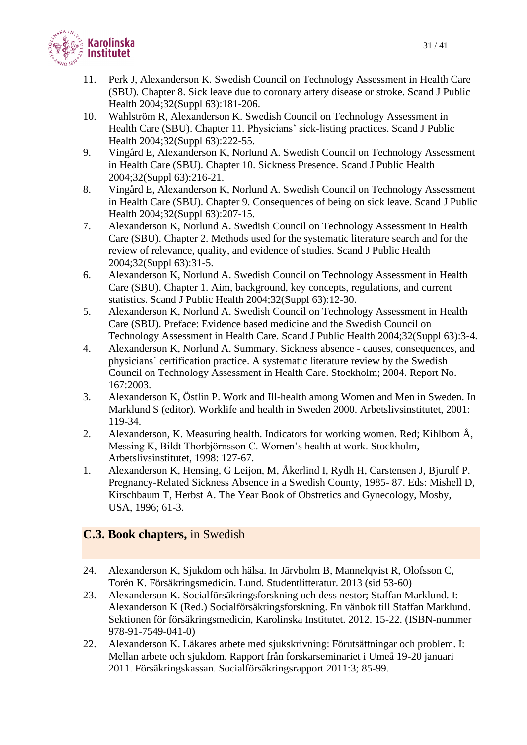

- 11. Perk J, Alexanderson K. Swedish Council on Technology Assessment in Health Care (SBU). Chapter 8. Sick leave due to coronary artery disease or stroke. Scand J Public Health 2004;32(Suppl 63):181-206.
- 10. Wahlström R, Alexanderson K. Swedish Council on Technology Assessment in Health Care (SBU). Chapter 11. Physicians' sick-listing practices. Scand J Public Health 2004;32(Suppl 63):222-55.
- 9. Vingård E, Alexanderson K, Norlund A. Swedish Council on Technology Assessment in Health Care (SBU). Chapter 10. Sickness Presence. Scand J Public Health 2004;32(Suppl 63):216-21.
- 8. Vingård E, Alexanderson K, Norlund A. Swedish Council on Technology Assessment in Health Care (SBU). Chapter 9. Consequences of being on sick leave. Scand J Public Health 2004;32(Suppl 63):207-15.
- 7. Alexanderson K, Norlund A. Swedish Council on Technology Assessment in Health Care (SBU). Chapter 2. Methods used for the systematic literature search and for the review of relevance, quality, and evidence of studies. Scand J Public Health 2004;32(Suppl 63):31-5.
- 6. Alexanderson K, Norlund A. Swedish Council on Technology Assessment in Health Care (SBU). Chapter 1. Aim, background, key concepts, regulations, and current statistics. Scand J Public Health 2004;32(Suppl 63):12-30.
- 5. Alexanderson K, Norlund A. Swedish Council on Technology Assessment in Health Care (SBU). Preface: Evidence based medicine and the Swedish Council on Technology Assessment in Health Care. Scand J Public Health 2004;32(Suppl 63):3-4.
- 4. Alexanderson K, Norlund A. Summary. Sickness absence causes, consequences, and physicians´ certification practice. A systematic literature review by the Swedish Council on Technology Assessment in Health Care. Stockholm; 2004. Report No. 167:2003.
- 3. Alexanderson K, Östlin P. Work and Ill-health among Women and Men in Sweden. In Marklund S (editor). Worklife and health in Sweden 2000. Arbetslivsinstitutet, 2001: 119-34.
- 2. Alexanderson, K. Measuring health. Indicators for working women. Red; Kihlbom Å, Messing K, Bildt Thorbjörnsson C. Women's health at work. Stockholm, Arbetslivsinstitutet, 1998: 127-67.
- 1. Alexanderson K, Hensing, G Leijon, M, Åkerlind I, Rydh H, Carstensen J, Bjurulf P. Pregnancy-Related Sickness Absence in a Swedish County, 1985- 87. Eds: Mishell D, Kirschbaum T, Herbst A. The Year Book of Obstretics and Gynecology, Mosby, USA, 1996; 61-3.

## **C.3. Book chapters,** in Swedish

- 24. Alexanderson K, Sjukdom och hälsa. In Järvholm B, Mannelqvist R, Olofsson C, Torén K. Försäkringsmedicin. Lund. Studentlitteratur. 2013 (sid 53-60)
- 23. Alexanderson K. Socialförsäkringsforskning och dess nestor; Staffan Marklund. I: Alexanderson K (Red.) Socialförsäkringsforskning. En vänbok till Staffan Marklund. Sektionen för försäkringsmedicin, Karolinska Institutet. 2012. 15-22. (ISBN-nummer 978-91-7549-041-0)
- 22. Alexanderson K. Läkares arbete med sjukskrivning: Förutsättningar och problem. I: Mellan arbete och sjukdom. Rapport från forskarseminariet i Umeå 19-20 januari 2011. Försäkringskassan. Socialförsäkringsrapport 2011:3; 85-99.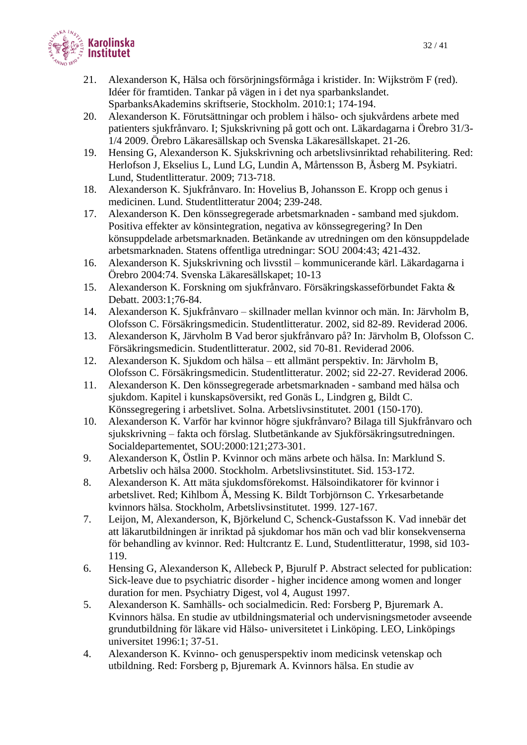

- 21. Alexanderson K, Hälsa och försörjningsförmåga i kristider. In: Wijkström F (red). Idéer för framtiden. Tankar på vägen in i det nya sparbankslandet. SparbanksAkademins skriftserie, Stockholm. 2010:1; 174-194.
- 20. Alexanderson K. Förutsättningar och problem i hälso- och sjukvårdens arbete med patienters sjukfrånvaro. I; Sjukskrivning på gott och ont. Läkardagarna i Örebro 31/3- 1/4 2009. Örebro Läkaresällskap och Svenska Läkaresällskapet. 21-26.
- 19. Hensing G, Alexanderson K. Sjukskrivning och arbetslivsinriktad rehabilitering. Red: Herlofson J, Ekselius L, Lund LG, Lundin A, Mårtensson B, Åsberg M. Psykiatri. Lund, Studentlitteratur. 2009; 713-718.
- 18. Alexanderson K. Sjukfrånvaro. In: Hovelius B, Johansson E. Kropp och genus i medicinen. Lund. Studentlitteratur 2004; 239-248.
- 17. Alexanderson K. Den könssegregerade arbetsmarknaden samband med sjukdom. Positiva effekter av könsintegration, negativa av könssegregering? In Den könsuppdelade arbetsmarknaden. Betänkande av utredningen om den könsuppdelade arbetsmarknaden. Statens offentliga utredningar: SOU 2004:43; 421-432.
- 16. Alexanderson K. Sjukskrivning och livsstil kommunicerande kärl. Läkardagarna i Örebro 2004:74. Svenska Läkaresällskapet; 10-13
- 15. Alexanderson K. Forskning om sjukfrånvaro. Försäkringskasseförbundet Fakta & Debatt. 2003:1;76-84.
- 14. Alexanderson K. Sjukfrånvaro skillnader mellan kvinnor och män. In: Järvholm B, Olofsson C. Försäkringsmedicin. Studentlitteratur. 2002, sid 82-89. Reviderad 2006.
- 13. Alexanderson K, Järvholm B Vad beror sjukfrånvaro på? In: Järvholm B, Olofsson C. Försäkringsmedicin. Studentlitteratur. 2002, sid 70-81. Reviderad 2006.
- 12. Alexanderson K. Sjukdom och hälsa ett allmänt perspektiv. In: Järvholm B, Olofsson C. Försäkringsmedicin. Studentlitteratur. 2002; sid 22-27. Reviderad 2006.
- 11. Alexanderson K. Den könssegregerade arbetsmarknaden samband med hälsa och sjukdom. Kapitel i kunskapsöversikt, red Gonäs L, Lindgren g, Bildt C. Könssegregering i arbetslivet. Solna. Arbetslivsinstitutet. 2001 (150-170).
- 10. Alexanderson K. Varför har kvinnor högre sjukfrånvaro? Bilaga till Sjukfrånvaro och sjukskrivning – fakta och förslag. Slutbetänkande av Sjukförsäkringsutredningen. Socialdepartementet, SOU:2000:121;273-301.
- 9. Alexanderson K, Östlin P. Kvinnor och mäns arbete och hälsa. In: Marklund S. Arbetsliv och hälsa 2000. Stockholm. Arbetslivsinstitutet. Sid. 153-172.
- 8. Alexanderson K. Att mäta sjukdomsförekomst. Hälsoindikatorer för kvinnor i arbetslivet. Red; Kihlbom Å, Messing K. Bildt Torbjörnson C. Yrkesarbetande kvinnors hälsa. Stockholm, Arbetslivsinstitutet. 1999. 127-167.
- 7. Leijon, M, Alexanderson, K, Björkelund C, Schenck-Gustafsson K. Vad innebär det att läkarutbildningen är inriktad på sjukdomar hos män och vad blir konsekvenserna för behandling av kvinnor. Red: Hultcrantz E. Lund, Studentlitteratur, 1998, sid 103- 119.
- 6. Hensing G, Alexanderson K, Allebeck P, Bjurulf P. Abstract selected for publication: Sick-leave due to psychiatric disorder - higher incidence among women and longer duration for men. Psychiatry Digest, vol 4, August 1997.
- 5. Alexanderson K. Samhälls- och socialmedicin. Red: Forsberg P, Bjuremark A. Kvinnors hälsa. En studie av utbildningsmaterial och undervisningsmetoder avseende grundutbildning för läkare vid Hälso- universitetet i Linköping. LEO, Linköpings universitet 1996:1; 37-51.
- 4. Alexanderson K. Kvinno- och genusperspektiv inom medicinsk vetenskap och utbildning. Red: Forsberg p, Bjuremark A. Kvinnors hälsa. En studie av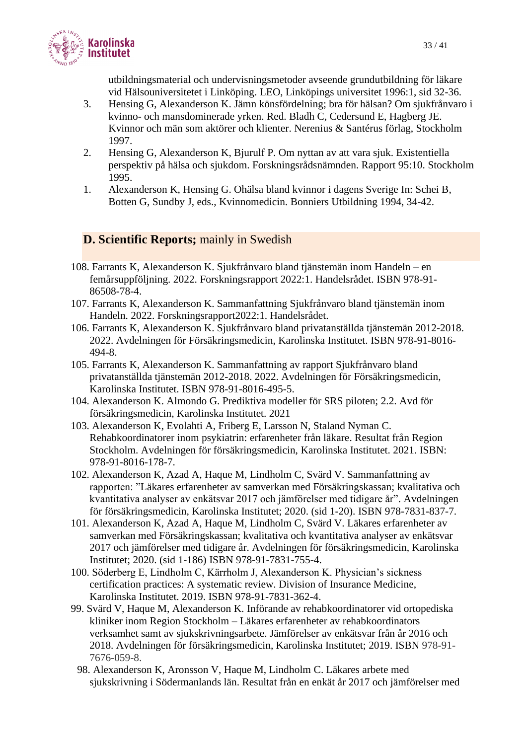

utbildningsmaterial och undervisningsmetoder avseende grundutbildning för läkare vid Hälsouniversitetet i Linköping. LEO, Linköpings universitet 1996:1, sid 32-36.

- 3. Hensing G, Alexanderson K. Jämn könsfördelning; bra för hälsan? Om sjukfrånvaro i kvinno- och mansdominerade yrken. Red. Bladh C, Cedersund E, Hagberg JE. Kvinnor och män som aktörer och klienter. Nerenius & Santérus förlag, Stockholm 1997.
- 2. Hensing G, Alexanderson K, Bjurulf P. Om nyttan av att vara sjuk. Existentiella perspektiv på hälsa och sjukdom. Forskningsrådsnämnden. Rapport 95:10. Stockholm 1995.
- 1. Alexanderson K, Hensing G. Ohälsa bland kvinnor i dagens Sverige In: Schei B, Botten G, Sundby J, eds., Kvinnomedicin. Bonniers Utbildning 1994, 34-42.

## **D. Scientific Reports; mainly in Swedish**

- 108. Farrants K, Alexanderson K. Sjukfrånvaro bland tjänstemän inom Handeln en femårsuppföljning. 2022. Forskningsrapport 2022:1. Handelsrådet. ISBN 978-91- 86508-78-4.
- 107. Farrants K, Alexanderson K. Sammanfattning Sjukfrånvaro bland tjänstemän inom Handeln. 2022. Forskningsrapport2022:1. Handelsrådet.
- 106. Farrants K, Alexanderson K. Sjukfrånvaro bland privatanställda tjänstemän 2012-2018. 2022. Avdelningen för Försäkringsmedicin, Karolinska Institutet. ISBN 978-91-8016- 494-8.
- 105. Farrants K, Alexanderson K. Sammanfattning av rapport Sjukfrånvaro bland privatanställda tjänstemän 2012-2018. 2022. Avdelningen för Försäkringsmedicin, Karolinska Institutet. ISBN 978-91-8016-495-5.
- 104. Alexanderson K. Almondo G. Prediktiva modeller för SRS piloten; 2.2. Avd för försäkringsmedicin, Karolinska Institutet. 2021
- 103. Alexanderson K, Evolahti A, Friberg E, Larsson N, Staland Nyman C. Rehabkoordinatorer inom psykiatrin: erfarenheter från läkare. Resultat från Region Stockholm. Avdelningen för försäkringsmedicin, Karolinska Institutet. 2021. ISBN: 978-91-8016-178-7.
- 102. Alexanderson K, Azad A, Haque M, Lindholm C, Svärd V. Sammanfattning av rapporten: "Läkares erfarenheter av samverkan med Försäkringskassan; kvalitativa och kvantitativa analyser av enkätsvar 2017 och jämförelser med tidigare år". Avdelningen för försäkringsmedicin, Karolinska Institutet; 2020. (sid 1-20). ISBN 978-7831-837-7.
- 101. Alexanderson K, Azad A, Haque M, Lindholm C, Svärd V. Läkares erfarenheter av samverkan med Försäkringskassan; kvalitativa och kvantitativa analyser av enkätsvar 2017 och jämförelser med tidigare år. Avdelningen för försäkringsmedicin, Karolinska Institutet; 2020. (sid 1-186) ISBN 978-91-7831-755-4.
- 100. Söderberg E, Lindholm C, Kärrholm J, Alexanderson K. Physician's sickness certification practices: A systematic review. Division of Insurance Medicine, Karolinska Institutet. 2019. ISBN 978-91-7831-362-4.
- 99. Svärd V, Haque M, Alexanderson K. Införande av rehabkoordinatorer vid ortopediska kliniker inom Region Stockholm – Läkares erfarenheter av rehabkoordinators verksamhet samt av sjukskrivningsarbete. Jämförelser av enkätsvar från år 2016 och 2018. Avdelningen för försäkringsmedicin, Karolinska Institutet; 2019. ISBN 978-91- 7676-059-8.
	- 98. Alexanderson K, Aronsson V, Haque M, Lindholm C. Läkares arbete med sjukskrivning i Södermanlands län. Resultat från en enkät år 2017 och jämförelser med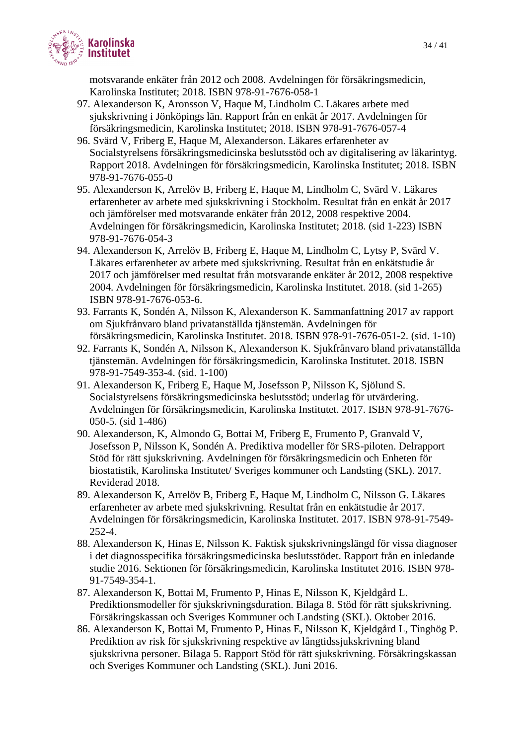

motsvarande enkäter från 2012 och 2008. Avdelningen för försäkringsmedicin, Karolinska Institutet; 2018. ISBN 978-91-7676-058-1

- 97. Alexanderson K, Aronsson V, Haque M, Lindholm C. Läkares arbete med sjukskrivning i Jönköpings län. Rapport från en enkät år 2017. Avdelningen för försäkringsmedicin, Karolinska Institutet; 2018. ISBN 978-91-7676-057-4
- 96. Svärd V, Friberg E, Haque M, Alexanderson. Läkares erfarenheter av Socialstyrelsens försäkringsmedicinska beslutsstöd och av digitalisering av läkarintyg. Rapport 2018. Avdelningen för försäkringsmedicin, Karolinska Institutet; 2018. ISBN 978-91-7676-055-0
- 95. Alexanderson K, Arrelöv B, Friberg E, Haque M, Lindholm C, Svärd V. Läkares erfarenheter av arbete med sjukskrivning i Stockholm. Resultat från en enkät år 2017 och jämförelser med motsvarande enkäter från 2012, 2008 respektive 2004. Avdelningen för försäkringsmedicin, Karolinska Institutet; 2018. (sid 1-223) ISBN 978-91-7676-054-3
- 94. Alexanderson K, Arrelöv B, Friberg E, Haque M, Lindholm C, Lytsy P, Svärd V. Läkares erfarenheter av arbete med sjukskrivning. Resultat från en enkätstudie år 2017 och jämförelser med resultat från motsvarande enkäter år 2012, 2008 respektive 2004. Avdelningen för försäkringsmedicin, Karolinska Institutet. 2018. (sid 1-265) ISBN 978-91-7676-053-6.
- 93. Farrants K, Sondén A, Nilsson K, Alexanderson K. Sammanfattning 2017 av rapport om Sjukfrånvaro bland privatanställda tjänstemän. Avdelningen för försäkringsmedicin, Karolinska Institutet. 2018. ISBN 978-91-7676-051-2. (sid. 1-10)
- 92. Farrants K, Sondén A, Nilsson K, Alexanderson K. Sjukfrånvaro bland privatanställda tjänstemän. Avdelningen för försäkringsmedicin, Karolinska Institutet. 2018. ISBN 978-91-7549-353-4. (sid. 1-100)
- 91. Alexanderson K, Friberg E, Haque M, Josefsson P, Nilsson K, Sjölund S. Socialstyrelsens försäkringsmedicinska beslutsstöd; underlag för utvärdering. Avdelningen för försäkringsmedicin, Karolinska Institutet. 2017. ISBN 978-91-7676- 050-5. (sid 1-486)
- 90. Alexanderson, K, Almondo G, Bottai M, Friberg E, Frumento P, Granvald V, Josefsson P, Nilsson K, Sondén A. Prediktiva modeller för SRS-piloten. Delrapport Stöd för rätt sjukskrivning. Avdelningen för försäkringsmedicin och Enheten för biostatistik, Karolinska Institutet/ Sveriges kommuner och Landsting (SKL). 2017. Reviderad 2018.
- 89. Alexanderson K, Arrelöv B, Friberg E, Haque M, Lindholm C, Nilsson G. Läkares erfarenheter av arbete med sjukskrivning. Resultat från en enkätstudie år 2017. Avdelningen för försäkringsmedicin, Karolinska Institutet. 2017. ISBN 978-91-7549- 252-4.
- 88. Alexanderson K, Hinas E, Nilsson K. Faktisk sjukskrivningslängd för vissa diagnoser i det diagnosspecifika försäkringsmedicinska beslutsstödet. Rapport från en inledande studie 2016. Sektionen för försäkringsmedicin, Karolinska Institutet 2016. ISBN 978- 91-7549-354-1.
- 87. Alexanderson K, Bottai M, Frumento P, Hinas E, Nilsson K, Kjeldgård L. Prediktionsmodeller för sjukskrivningsduration. Bilaga 8. Stöd för rätt sjukskrivning. Försäkringskassan och Sveriges Kommuner och Landsting (SKL). Oktober 2016.
- 86. Alexanderson K, Bottai M, Frumento P, Hinas E, Nilsson K, Kjeldgård L, Tinghög P. Prediktion av risk för sjukskrivning respektive av långtidssjukskrivning bland sjukskrivna personer. Bilaga 5. Rapport Stöd för rätt sjukskrivning. Försäkringskassan och Sveriges Kommuner och Landsting (SKL). Juni 2016.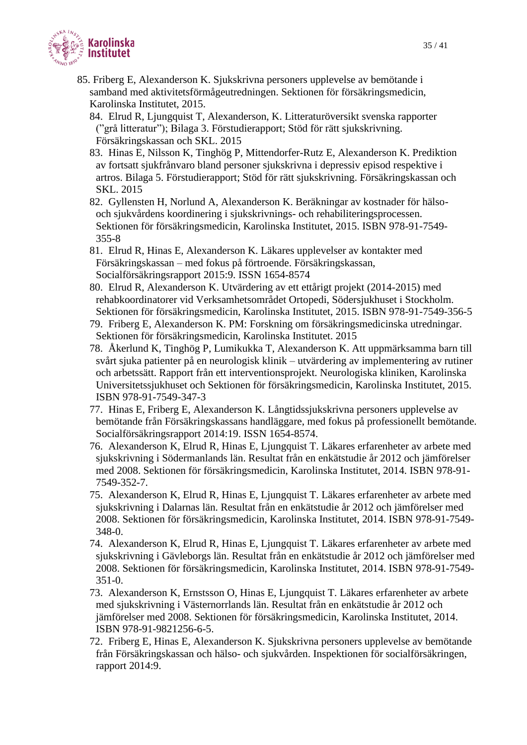

- 85. Friberg E, Alexanderson K. Sjukskrivna personers upplevelse av bemötande i samband med aktivitetsförmågeutredningen. Sektionen för försäkringsmedicin, Karolinska Institutet, 2015.
	- 84. Elrud R, Ljungquist T, Alexanderson, K. Litteraturöversikt svenska rapporter ("grå litteratur"); Bilaga 3. Förstudierapport; Stöd för rätt sjukskrivning. Försäkringskassan och SKL. 2015
	- 83. Hinas E, Nilsson K, Tinghög P, Mittendorfer-Rutz E, Alexanderson K. Prediktion av fortsatt sjukfrånvaro bland personer sjukskrivna i depressiv episod respektive i artros. Bilaga 5. Förstudierapport; Stöd för rätt sjukskrivning. Försäkringskassan och SKL. 2015
	- 82. Gyllensten H, Norlund A, Alexanderson K. Beräkningar av kostnader för hälsooch sjukvårdens koordinering i sjukskrivnings- och rehabiliteringsprocessen. Sektionen för försäkringsmedicin, Karolinska Institutet, 2015. ISBN 978-91-7549- 355-8
	- 81. Elrud R, Hinas E, Alexanderson K. Läkares upplevelser av kontakter med Försäkringskassan – med fokus på förtroende. Försäkringskassan, Socialförsäkringsrapport 2015:9. ISSN 1654-8574
	- 80. Elrud R, Alexanderson K. Utvärdering av ett ettårigt projekt (2014-2015) med rehabkoordinatorer vid Verksamhetsområdet Ortopedi, Södersjukhuset i Stockholm. Sektionen för försäkringsmedicin, Karolinska Institutet, 2015. ISBN 978-91-7549-356-5
	- 79. Friberg E, Alexanderson K. PM: Forskning om försäkringsmedicinska utredningar. Sektionen för försäkringsmedicin, Karolinska Institutet. 2015
	- 78. Åkerlund K, Tinghög P, Lumikukka T, Alexanderson K. Att uppmärksamma barn till svårt sjuka patienter på en neurologisk klinik – utvärdering av implementering av rutiner och arbetssätt. Rapport från ett interventionsprojekt. Neurologiska kliniken, Karolinska Universitetssjukhuset och Sektionen för försäkringsmedicin, Karolinska Institutet, 2015. ISBN 978-91-7549-347-3
	- 77. Hinas E, Friberg E, Alexanderson K. Långtidssjukskrivna personers upplevelse av bemötande från Försäkringskassans handläggare, med fokus på professionellt bemötande. Socialförsäkringsrapport 2014:19. ISSN 1654-8574.
	- 76. Alexanderson K, Elrud R, Hinas E, Ljungquist T. Läkares erfarenheter av arbete med sjukskrivning i Södermanlands län. Resultat från en enkätstudie år 2012 och jämförelser med 2008. Sektionen för försäkringsmedicin, Karolinska Institutet, 2014. ISBN 978-91- 7549-352-7.
	- 75. Alexanderson K, Elrud R, Hinas E, Ljungquist T. Läkares erfarenheter av arbete med sjukskrivning i Dalarnas län. Resultat från en enkätstudie år 2012 och jämförelser med 2008. Sektionen för försäkringsmedicin, Karolinska Institutet, 2014. ISBN 978-91-7549- 348-0.
	- 74. Alexanderson K, Elrud R, Hinas E, Ljungquist T. Läkares erfarenheter av arbete med sjukskrivning i Gävleborgs län. Resultat från en enkätstudie år 2012 och jämförelser med 2008. Sektionen för försäkringsmedicin, Karolinska Institutet, 2014. ISBN 978-91-7549- 351-0.
	- 73. Alexanderson K, Ernstsson O, Hinas E, Ljungquist T. Läkares erfarenheter av arbete med sjukskrivning i Västernorrlands län. Resultat från en enkätstudie år 2012 och jämförelser med 2008. Sektionen för försäkringsmedicin, Karolinska Institutet, 2014. ISBN 978-91-9821256-6-5.
	- 72. Friberg E, Hinas E, Alexanderson K. Sjukskrivna personers upplevelse av bemötande från Försäkringskassan och hälso- och sjukvården. Inspektionen för socialförsäkringen, rapport 2014:9.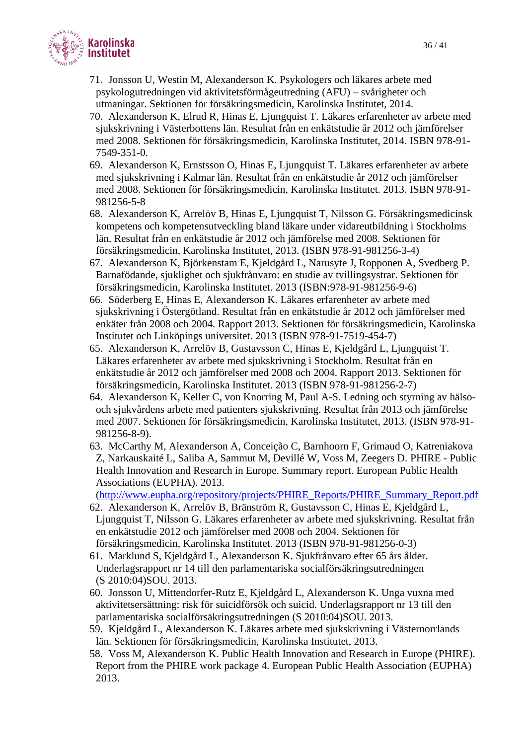

- 71. Jonsson U, Westin M, Alexanderson K. Psykologers och läkares arbete med psykologutredningen vid aktivitetsförmågeutredning (AFU) – svårigheter och utmaningar. Sektionen för försäkringsmedicin, Karolinska Institutet, 2014.
- 70. Alexanderson K, Elrud R, Hinas E, Ljungquist T. Läkares erfarenheter av arbete med sjukskrivning i Västerbottens län. Resultat från en enkätstudie år 2012 och jämförelser med 2008. Sektionen för försäkringsmedicin, Karolinska Institutet, 2014. ISBN 978-91- 7549-351-0.
- 69. Alexanderson K, Ernstsson O, Hinas E, Ljungquist T. Läkares erfarenheter av arbete med sjukskrivning i Kalmar län. Resultat från en enkätstudie år 2012 och jämförelser med 2008. Sektionen för försäkringsmedicin, Karolinska Institutet. 2013. ISBN 978-91- 981256-5-8
- 68. Alexanderson K, Arrelöv B, Hinas E, Ljungquist T, Nilsson G. Försäkringsmedicinsk kompetens och kompetensutveckling bland läkare under vidareutbildning i Stockholms län. Resultat från en enkätstudie år 2012 och jämförelse med 2008. Sektionen för försäkringsmedicin, Karolinska Institutet, 2013. (ISBN 978-91-981256-3-4)
- 67. Alexanderson K, Björkenstam E, Kjeldgård L, Narusyte J, Ropponen A, Svedberg P. Barnafödande, sjuklighet och sjukfrånvaro: en studie av tvillingsystrar. Sektionen för försäkringsmedicin, Karolinska Institutet. 2013 (ISBN:978-91-981256-9-6)
- 66. Söderberg E, Hinas E, Alexanderson K. Läkares erfarenheter av arbete med sjukskrivning i Östergötland. Resultat från en enkätstudie år 2012 och jämförelser med enkäter från 2008 och 2004. Rapport 2013. Sektionen för försäkringsmedicin, Karolinska Institutet och Linköpings universitet. 2013 (ISBN 978-91-7519-454-7)
- 65. Alexanderson K, Arrelöv B, Gustavsson C, Hinas E, Kjeldgård L, Ljungquist T. Läkares erfarenheter av arbete med sjukskrivning i Stockholm. Resultat från en enkätstudie år 2012 och jämförelser med 2008 och 2004. Rapport 2013. Sektionen för försäkringsmedicin, Karolinska Institutet. 2013 (ISBN 978-91-981256-2-7)
- 64. Alexanderson K, Keller C, von Knorring M, Paul A-S. Ledning och styrning av hälsooch sjukvårdens arbete med patienters sjukskrivning. Resultat från 2013 och jämförelse med 2007. Sektionen för försäkringsmedicin, Karolinska Institutet, 2013. (ISBN 978-91- 981256-8-9).
- 63. McCarthy M, Alexanderson A, Conceição C, Barnhoorn F, Grimaud O, Katreniakova Z, Narkauskaité L, Saliba A, Sammut M, Devillé W, Voss M, Zeegers D. PHIRE - Public Health Innovation and Research in Europe. Summary report. European Public Health Associations (EUPHA). 2013.

[\(http://www.eupha.org/repository/projects/PHIRE\\_Reports/PHIRE\\_Summary\\_Report.pdf](http://www.eupha.org/repository/projects/PHIRE_Reports/PHIRE_Summary_Report.pdf)

- 62. Alexanderson K, Arrelöv B, Bränström R, Gustavsson C, Hinas E, Kjeldgård L, Ljungquist T, Nilsson G. Läkares erfarenheter av arbete med sjukskrivning. Resultat från en enkätstudie 2012 och jämförelser med 2008 och 2004. Sektionen för försäkringsmedicin, Karolinska Institutet. 2013 (ISBN 978-91-981256-0-3)
- 61. Marklund S, Kjeldgård L, Alexanderson K. Sjukfrånvaro efter 65 års ålder. Underlagsrapport nr 14 till den parlamentariska socialförsäkringsutredningen (S 2010:04)SOU. 2013.
- 60. Jonsson U, Mittendorfer-Rutz E, Kjeldgård L, Alexanderson K. Unga vuxna med aktivitetsersättning: risk för suicidförsök och suicid. Underlagsrapport nr 13 till den parlamentariska socialförsäkringsutredningen (S 2010:04)SOU. 2013.
- 59. Kjeldgård L, Alexanderson K. Läkares arbete med sjukskrivning i Västernorrlands län. Sektionen för försäkringsmedicin, Karolinska Institutet, 2013.
- 58. Voss M, Alexanderson K. Public Health Innovation and Research in Europe (PHIRE). Report from the PHIRE work package 4. European Public Health Association (EUPHA) 2013.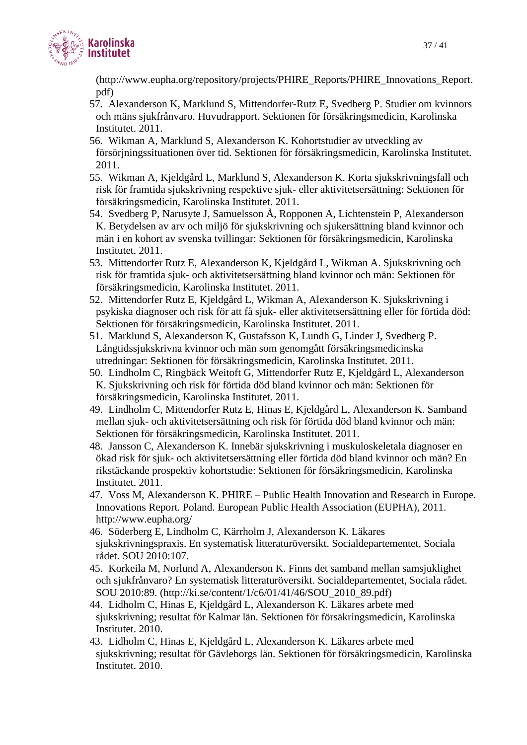

(http://www.eupha.org/repository/projects/PHIRE\_Reports/PHIRE\_Innovations\_Report. pdf)

- 57. Alexanderson K, Marklund S, Mittendorfer-Rutz E, Svedberg P. Studier om kvinnors och mäns sjukfrånvaro. Huvudrapport. Sektionen för försäkringsmedicin, Karolinska Institutet. 2011.
- 56. Wikman A, Marklund S, Alexanderson K. Kohortstudier av utveckling av försörjningssituationen över tid. Sektionen för försäkringsmedicin, Karolinska Institutet. 2011.
- 55. Wikman A, Kjeldgård L, Marklund S, Alexanderson K. Korta sjukskrivningsfall och risk för framtida sjukskrivning respektive sjuk- eller aktivitetsersättning: Sektionen för försäkringsmedicin, Karolinska Institutet. 2011.
- 54. Svedberg P, Narusyte J, Samuelsson Å, Ropponen A, Lichtenstein P, Alexanderson K. Betydelsen av arv och miljö för sjukskrivning och sjukersättning bland kvinnor och män i en kohort av svenska tvillingar: Sektionen för försäkringsmedicin, Karolinska Institutet. 2011.
- 53. Mittendorfer Rutz E, Alexanderson K, Kjeldgård L, Wikman A. Sjukskrivning och risk för framtida sjuk- och aktivitetsersättning bland kvinnor och män: Sektionen för försäkringsmedicin, Karolinska Institutet. 2011.
- 52. Mittendorfer Rutz E, Kjeldgård L, Wikman A, Alexanderson K. Sjukskrivning i psykiska diagnoser och risk för att få sjuk- eller aktivitetsersättning eller för förtida död: Sektionen för försäkringsmedicin, Karolinska Institutet. 2011.
- 51. Marklund S, Alexanderson K, Gustafsson K, Lundh G, Linder J, Svedberg P. Långtidssjukskrivna kvinnor och män som genomgått försäkringsmedicinska utredningar: Sektionen för försäkringsmedicin, Karolinska Institutet. 2011.
- 50. Lindholm C, Ringbäck Weitoft G, Mittendorfer Rutz E, Kjeldgård L, Alexanderson K. Sjukskrivning och risk för förtida död bland kvinnor och män: Sektionen för försäkringsmedicin, Karolinska Institutet. 2011.
- 49. Lindholm C, Mittendorfer Rutz E, Hinas E, Kjeldgård L, Alexanderson K. Samband mellan sjuk- och aktivitetsersättning och risk för förtida död bland kvinnor och män: Sektionen för försäkringsmedicin, Karolinska Institutet. 2011.
- 48. Jansson C, Alexanderson K. Innebär sjukskrivning i muskuloskeletala diagnoser en ökad risk för sjuk- och aktivitetsersättning eller förtida död bland kvinnor och män? En rikstäckande prospektiv kohortstudie: Sektionen för försäkringsmedicin, Karolinska Institutet. 2011.
- 47. Voss M, Alexanderson K. PHIRE Public Health Innovation and Research in Europe. Innovations Report. Poland. European Public Health Association (EUPHA), 2011. http://www.eupha.org/
- 46. Söderberg E, Lindholm C, Kärrholm J, Alexanderson K. Läkares sjukskrivningspraxis. En systematisk litteraturöversikt. Socialdepartementet, Sociala rådet. SOU 2010:107.
- 45. Korkeila M, Norlund A, Alexanderson K. Finns det samband mellan samsjuklighet och sjukfrånvaro? En systematisk litteraturöversikt. Socialdepartementet, Sociala rådet. SOU 2010:89. (http://ki.se/content/1/c6/01/41/46/SOU\_2010\_89.pdf)
- 44. Lidholm C, Hinas E, Kjeldgård L, Alexanderson K. Läkares arbete med sjukskrivning; resultat för Kalmar län. Sektionen för försäkringsmedicin, Karolinska Institutet. 2010.
- 43. Lidholm C, Hinas E, Kjeldgård L, Alexanderson K. Läkares arbete med sjukskrivning; resultat för Gävleborgs län. Sektionen för försäkringsmedicin, Karolinska Institutet. 2010.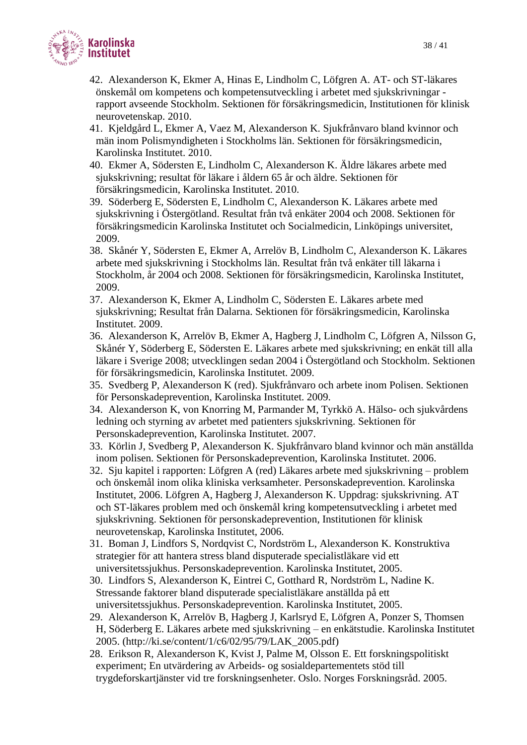

- 42. Alexanderson K, Ekmer A, Hinas E, Lindholm C, Löfgren A. AT- och ST-läkares önskemål om kompetens och kompetensutveckling i arbetet med sjukskrivningar rapport avseende Stockholm. Sektionen för försäkringsmedicin, Institutionen för klinisk neurovetenskap. 2010.
- 41. Kjeldgård L, Ekmer A, Vaez M, Alexanderson K. Sjukfrånvaro bland kvinnor och män inom Polismyndigheten i Stockholms län. Sektionen för försäkringsmedicin, Karolinska Institutet. 2010.
- 40. Ekmer A, Södersten E, Lindholm C, Alexanderson K. Äldre läkares arbete med sjukskrivning; resultat för läkare i åldern 65 år och äldre. Sektionen för försäkringsmedicin, Karolinska Institutet. 2010.
- 39. Söderberg E, Södersten E, Lindholm C, Alexanderson K. Läkares arbete med sjukskrivning i Östergötland. Resultat från två enkäter 2004 och 2008. Sektionen för försäkringsmedicin Karolinska Institutet och Socialmedicin, Linköpings universitet, 2009.
- 38. Skånér Y, Södersten E, Ekmer A, Arrelöv B, Lindholm C, Alexanderson K. Läkares arbete med sjukskrivning i Stockholms län. Resultat från två enkäter till läkarna i Stockholm, år 2004 och 2008. Sektionen för försäkringsmedicin, Karolinska Institutet, 2009.
- 37. Alexanderson K, Ekmer A, Lindholm C, Södersten E. Läkares arbete med sjukskrivning; Resultat från Dalarna. Sektionen för försäkringsmedicin, Karolinska Institutet. 2009.
- 36. Alexanderson K, Arrelöv B, Ekmer A, Hagberg J, Lindholm C, Löfgren A, Nilsson G, Skånér Y, Söderberg E, Södersten E. Läkares arbete med sjukskrivning; en enkät till alla läkare i Sverige 2008; utvecklingen sedan 2004 i Östergötland och Stockholm. Sektionen för försäkringsmedicin, Karolinska Institutet. 2009.
- 35. Svedberg P, Alexanderson K (red). Sjukfrånvaro och arbete inom Polisen. Sektionen för Personskadeprevention, Karolinska Institutet. 2009.
- 34. Alexanderson K, von Knorring M, Parmander M, Tyrkkö A. Hälso- och sjukvårdens ledning och styrning av arbetet med patienters sjukskrivning. Sektionen för Personskadeprevention, Karolinska Institutet. 2007.
- 33. Körlin J, Svedberg P, Alexanderson K. Sjukfrånvaro bland kvinnor och män anställda inom polisen. Sektionen för Personskadeprevention, Karolinska Institutet. 2006.
- 32. Sju kapitel i rapporten: Löfgren A (red) Läkares arbete med sjukskrivning problem och önskemål inom olika kliniska verksamheter. Personskadeprevention. Karolinska Institutet, 2006. Löfgren A, Hagberg J, Alexanderson K. Uppdrag: sjukskrivning. AT och ST-läkares problem med och önskemål kring kompetensutveckling i arbetet med sjukskrivning. Sektionen för personskadeprevention, Institutionen för klinisk neurovetenskap, Karolinska Institutet, 2006.
- 31. Boman J, Lindfors S, Nordqvist C, Nordström L, Alexanderson K. Konstruktiva strategier för att hantera stress bland disputerade specialistläkare vid ett universitetssjukhus. Personskadeprevention. Karolinska Institutet, 2005.
- 30. Lindfors S, Alexanderson K, Eintrei C, Gotthard R, Nordström L, Nadine K. Stressande faktorer bland disputerade specialistläkare anställda på ett universitetssjukhus. Personskadeprevention. Karolinska Institutet, 2005.
- 29. Alexanderson K, Arrelöv B, Hagberg J, Karlsryd E, Löfgren A, Ponzer S, Thomsen H, Söderberg E. Läkares arbete med sjukskrivning – en enkätstudie. Karolinska Institutet 2005. (http://ki.se/content/1/c6/02/95/79/LAK\_2005.pdf)
- 28. Erikson R, Alexanderson K, Kvist J, Palme M, Olsson E. Ett forskningspolitiskt experiment; En utvärdering av Arbeids- og sosialdepartementets stöd till trygdeforskartjänster vid tre forskningsenheter. Oslo. Norges Forskningsråd. 2005.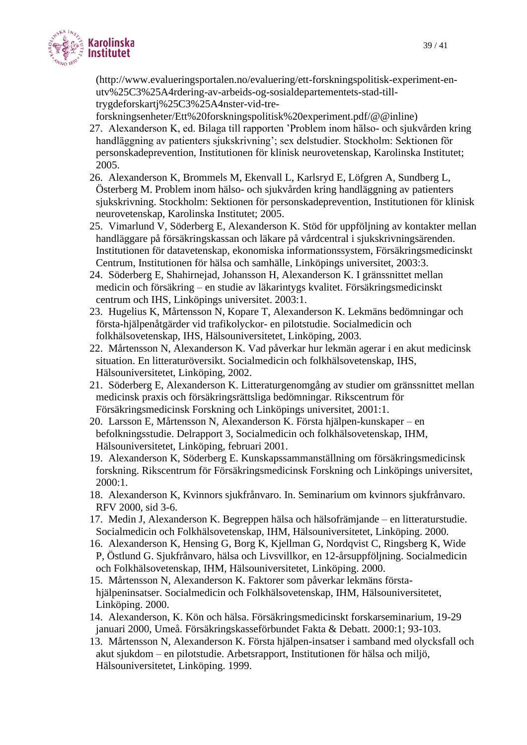

[\(http://www.evalueringsportalen.no/evaluering/ett-forskningspolitisk-experiment-en](http://www.evalueringsportalen.no/evaluering/ett-forskningspolitisk-experiment-en-utv%25C3%25A4rdering-av-arbeids-og-sosialdepartementets-stad-till-trygdeforskartj%25C3%25A4nster-vid-tre-forskningsenheter/Ett%20forskningspolitisk%20experiment.pdf/@@inline)[utv%25C3%25A4rdering-av-arbeids-og-sosialdepartementets-stad-till](http://www.evalueringsportalen.no/evaluering/ett-forskningspolitisk-experiment-en-utv%25C3%25A4rdering-av-arbeids-og-sosialdepartementets-stad-till-trygdeforskartj%25C3%25A4nster-vid-tre-forskningsenheter/Ett%20forskningspolitisk%20experiment.pdf/@@inline)[trygdeforskartj%25C3%25A4nster-vid-tre-](http://www.evalueringsportalen.no/evaluering/ett-forskningspolitisk-experiment-en-utv%25C3%25A4rdering-av-arbeids-og-sosialdepartementets-stad-till-trygdeforskartj%25C3%25A4nster-vid-tre-forskningsenheter/Ett%20forskningspolitisk%20experiment.pdf/@@inline)

[forskningsenheter/Ett%20forskningspolitisk%20experiment.pdf/@@inline\)](http://www.evalueringsportalen.no/evaluering/ett-forskningspolitisk-experiment-en-utv%25C3%25A4rdering-av-arbeids-og-sosialdepartementets-stad-till-trygdeforskartj%25C3%25A4nster-vid-tre-forskningsenheter/Ett%20forskningspolitisk%20experiment.pdf/@@inline)

- 27. Alexanderson K, ed. Bilaga till rapporten 'Problem inom hälso- och sjukvården kring handläggning av patienters sjukskrivning'; sex delstudier. Stockholm: Sektionen för personskadeprevention, Institutionen för klinisk neurovetenskap, Karolinska Institutet; 2005.
- 26. Alexanderson K, Brommels M, Ekenvall L, Karlsryd E, Löfgren A, Sundberg L, Österberg M. Problem inom hälso- och sjukvården kring handläggning av patienters sjukskrivning. Stockholm: Sektionen för personskadeprevention, Institutionen för klinisk neurovetenskap, Karolinska Institutet; 2005.
- 25. Vimarlund V, Söderberg E, Alexanderson K. Stöd för uppföljning av kontakter mellan handläggare på försäkringskassan och läkare på vårdcentral i sjukskrivningsärenden. Institutionen för datavetenskap, ekonomiska informationssystem, Försäkringsmedicinskt Centrum, Institutionen för hälsa och samhälle, Linköpings universitet, 2003:3.
- 24. Söderberg E, Shahirnejad, Johansson H, Alexanderson K. I gränssnittet mellan medicin och försäkring – en studie av läkarintygs kvalitet. Försäkringsmedicinskt centrum och IHS, Linköpings universitet. 2003:1.
- 23. Hugelius K, Mårtensson N, Kopare T, Alexanderson K. Lekmäns bedömningar och första-hjälpenåtgärder vid trafikolyckor- en pilotstudie. Socialmedicin och folkhälsovetenskap, IHS, Hälsouniversitetet, Linköping, 2003.
- 22. Mårtensson N, Alexanderson K. Vad påverkar hur lekmän agerar i en akut medicinsk situation. En litteraturöversikt. Socialmedicin och folkhälsovetenskap, IHS, Hälsouniversitetet, Linköping, 2002.
- 21. Söderberg E, Alexanderson K. Litteraturgenomgång av studier om gränssnittet mellan medicinsk praxis och försäkringsrättsliga bedömningar. Rikscentrum för Försäkringsmedicinsk Forskning och Linköpings universitet, 2001:1.
- 20. Larsson E, Mårtensson N, Alexanderson K. Första hjälpen-kunskaper en befolkningsstudie. Delrapport 3, Socialmedicin och folkhälsovetenskap, IHM, Hälsouniversitetet, Linköping, februari 2001.
- 19. Alexanderson K, Söderberg E. Kunskapssammanställning om försäkringsmedicinsk forskning. Rikscentrum för Försäkringsmedicinsk Forskning och Linköpings universitet, 2000:1.
- 18. Alexanderson K, Kvinnors sjukfrånvaro. In. Seminarium om kvinnors sjukfrånvaro. RFV 2000, sid 3-6.
- 17. Medin J, Alexanderson K. Begreppen hälsa och hälsofrämjande en litteraturstudie. Socialmedicin och Folkhälsovetenskap, IHM, Hälsouniversitetet, Linköping. 2000.
- 16. Alexanderson K, Hensing G, Borg K, Kjellman G, Nordqvist C, Ringsberg K, Wide P, Östlund G. Sjukfrånvaro, hälsa och Livsvillkor, en 12-årsuppföljning. Socialmedicin och Folkhälsovetenskap, IHM, Hälsouniversitetet, Linköping. 2000.
- 15. Mårtensson N, Alexanderson K. Faktorer som påverkar lekmäns förstahjälpeninsatser. Socialmedicin och Folkhälsovetenskap, IHM, Hälsouniversitetet, Linköping. 2000.
- 14. Alexanderson, K. Kön och hälsa. Försäkringsmedicinskt forskarseminarium, 19-29 januari 2000, Umeå. Försäkringskasseförbundet Fakta & Debatt. 2000:1; 93-103.
- 13. Mårtensson N, Alexanderson K. Första hjälpen-insatser i samband med olycksfall och akut sjukdom – en pilotstudie. Arbetsrapport, Institutionen för hälsa och miljö, Hälsouniversitetet, Linköping. 1999.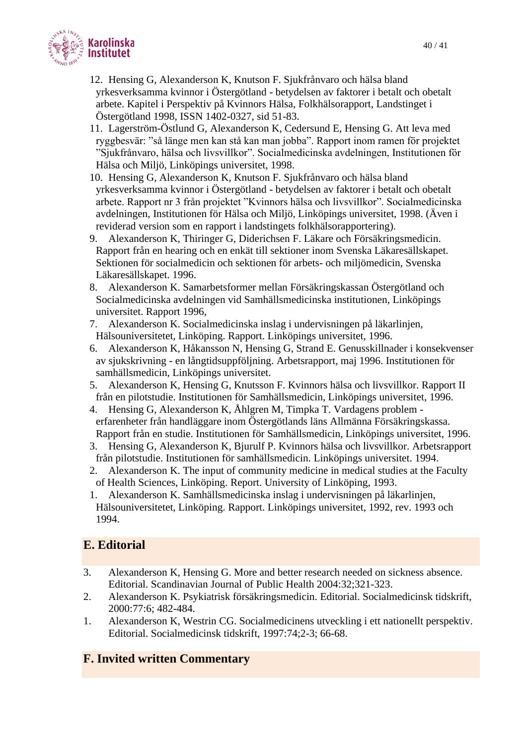

12. Hensing G, Alexanderson K, Knutson F. Sjukfrånvaro och hälsa bland yrkesverksamma kvinnor i Östergötland - betydelsen av faktorer i betalt och obetalt arbete. Kapitel i Perspektiv på Kvinnors Hälsa, Folkhälsorapport, Landstinget i Östergötland 1998, ISSN 1402-0327, sid 51-83.

- 11. Lagerström-Östlund G, Alexanderson K, Cedersund E, Hensing G. Att leva med ryggbesvär: "så länge men kan stå kan man jobba". Rapport inom ramen för projektet "Sjukfrånvaro, hälsa och livsvillkor". Socialmedicinska avdelningen, Institutionen för Hälsa och Miljö, Linköpings universitet, 1998.
- 10. Hensing G, Alexanderson K, Knutson F. Sjukfrånvaro och hälsa bland yrkesverksamma kvinnor i Östergötland - betydelsen av faktorer i betalt och obetalt arbete. Rapport nr 3 från projektet "Kvinnors hälsa och livsvillkor". Socialmedicinska avdelningen, Institutionen för Hälsa och Miljö, Linköpings universitet, 1998. (Även i reviderad version som en rapport i landstingets folkhälsorapportering).
- 9. Alexanderson K, Thiringer G, Diderichsen F. Läkare och Försäkringsmedicin. Rapport från en hearing och en enkät till sektioner inom Svenska Läkaresällskapet. Sektionen för socialmedicin och sektionen för arbets- och miljömedicin, Svenska Läkaresällskapet. 1996.
- 8. Alexanderson K. Samarbetsformer mellan Försäkringskassan Östergötland och Socialmedicinska avdelningen vid Samhällsmedicinska institutionen, Linköpings universitet. Rapport 1996,
- 7. Alexanderson K. Socialmedicinska inslag i undervisningen på läkarlinjen, Hälsouniversitetet, Linköping. Rapport. Linköpings universitet, 1996.
- 6. Alexanderson K, Håkansson N, Hensing G, Strand E. Genusskillnader i konsekvenser av sjukskrivning - en långtidsuppföljning. Arbetsrapport, maj 1996. Institutionen för samhällsmedicin, Linköpings universitet.
- 5. Alexanderson K, Hensing G, Knutsson F. Kvinnors hälsa och livsvillkor. Rapport II från en pilotstudie. Institutionen för Samhällsmedicin, Linköpings universitet, 1996.
- 4. Hensing G, Alexanderson K, Åhlgren M, Timpka T. Vardagens problem erfarenheter från handläggare inom Östergötlands läns Allmänna Försäkringskassa. Rapport från en studie. Institutionen för Samhällsmedicin, Linköpings universitet, 1996.
- 3. Hensing G, Alexanderson K, Bjurulf P. Kvinnors hälsa och livsvillkor. Arbetsrapport från pilotstudie. Institutionen för samhällsmedicin. Linköpings universitet. 1994.
- 2. Alexanderson K. The input of community medicine in medical studies at the Faculty of Health Sciences, Linköping. Report. University of Linköping, 1993.
- 1. Alexanderson K. Samhällsmedicinska inslag i undervisningen på läkarlinjen, Hälsouniversitetet, Linköping. Rapport. Linköpings universitet, 1992, rev. 1993 och 1994.

# **E. Editorial**

- 3. Alexanderson K, Hensing G. More and better research needed on sickness absence. Editorial. Scandinavian Journal of Public Health 2004:32;321-323.
- 2. Alexanderson K. Psykiatrisk försäkringsmedicin. Editorial. Socialmedicinsk tidskrift, 2000:77:6; 482-484.
- 1. Alexanderson K, Westrin CG. Socialmedicinens utveckling i ett nationellt perspektiv. Editorial. Socialmedicinsk tidskrift, 1997:74;2-3; 66-68.

# **F. Invited written Commentary**